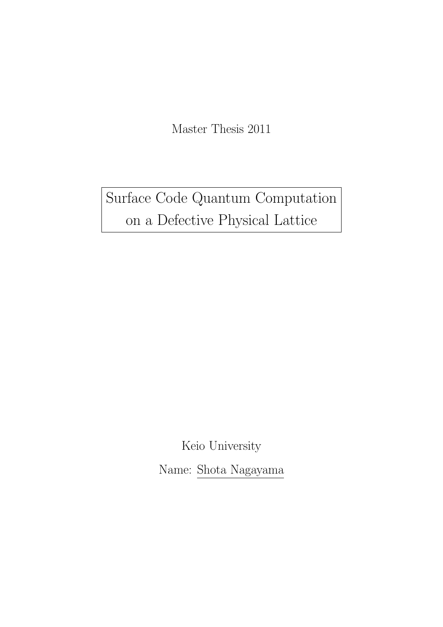Master Thesis 2011

Surface Code Quantum Computation on a Defective Physical Lattice

> Keio University Name: Shota Nagayama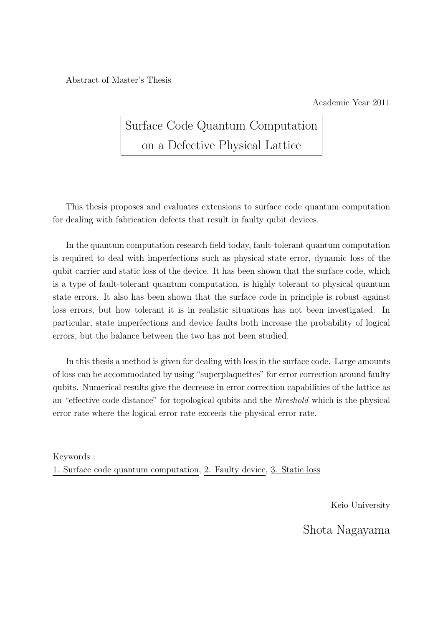Abstract of Master's Thesis

Academic Year 2011

# Surface Code Quantum Computation on a Defective Physical Lattice

This thesis proposes and evaluates extensions to surface code quantum computation for dealing with fabrication defects that result in faulty qubit devices.

In the quantum computation research field today, fault-tolerant quantum computation is required to deal with imperfections such as physical state error, dynamic loss of the qubit carrier and static loss of the device. It has been shown that the surface code, which is a type of fault-tolerant quantum computation, is highly tolerant to physical quantum state errors. It also has been shown that the surface code in principle is robust against loss errors, but how tolerant it is in realistic situations has not been investigated. In particular, state imperfections and device faults both increase the probability of logical errors, but the balance between the two has not been studied.

In this thesis a method is given for dealing with loss in the surface code. Large amounts of loss can be accommodated by using "superplaquettes" for error correction around faulty qubits. Numerical results give the decrease in error correction capabilities of the lattice as an "effective code distance" for topological qubits and the *threshold* which is the physical error rate where the logical error rate exceeds the physical error rate.

Keywords : 1. Surface code quantum computation, 2. Faulty device, 3. Static loss

Keio University

Shota Nagayama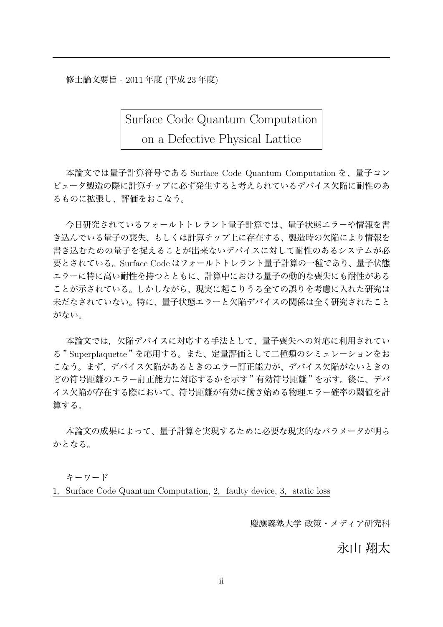修士論文要旨 - 2011 年度 (平成 23 年度)

Surface Code Quantum Computation

on a Defective Physical Lattice

本論文では量子計算符号である Surface Code Quantum Computation を、量子コン ピュータ製造の際に計算チップに必ず発生すると考えられているデバイス欠陥に耐性のあ るものに拡張し、評価をおこなう。

今日研究されているフォールトトレラント量子計算では、量子状態エラーや情報を書 き込んでいる量子の喪失、もしくは計算チップ上に存在する、製造時の欠陥により情報を 書き込むための量子を捉えることが出来ないデバイスに対して耐性のあるシステムが必 要とされている。Surface Code はフォールトトレラント量子計算の一種であり、量子状態 エラーに特に高い耐性を持つとともに、計算中における量子の動的な喪失にも耐性がある ことが示されている。しかしながら、現実に起こりうる全ての誤りを考慮に入れた研究は 未だなされていない。特に、量子状態エラーと欠陥デバイスの関係は全く研究されたこと がない。

本論文では,欠陥デバイスに対応する手法として、量子喪失への対応に利用されてい る "Superplaquette "を応用する。また、定量評価として二種類のシミュレーションをお こなう。まず、デバイス欠陥があるときのエラー訂正能力が、デバイス欠陥がないときの どの符号距離のエラー訂正能力に対応するかを示す "有効符号距離 "を示す。後に、デバ イス欠陥が存在する際において、符号距離が有効に働き始める物理エラー確率の閾値を計 算する。

本論文の成果によって、量子計算を実現するために必要な現実的なパラメータが明ら かとなる。

キーワード

1. Surface Code Quantum Computation, 2. faulty device, 3. static loss

慶應義塾大学 政策・メディア研究科

永山 翔太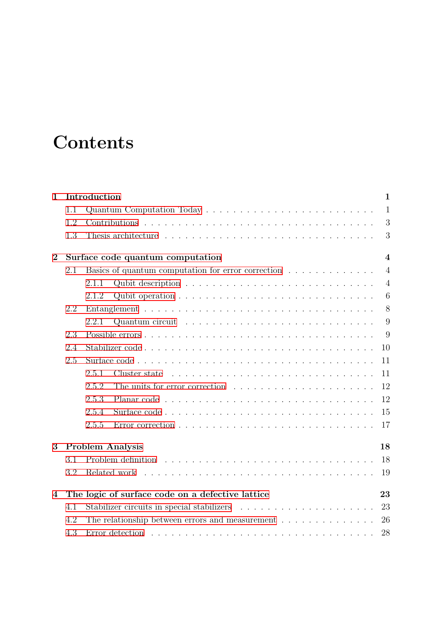# **Contents**

| $\mathbf{1}$   |     | Introduction<br>$\mathbf{1}$                                                                                                                                                                                                                  |
|----------------|-----|-----------------------------------------------------------------------------------------------------------------------------------------------------------------------------------------------------------------------------------------------|
|                | 1.1 | $\mathbf{1}$                                                                                                                                                                                                                                  |
|                | 1.2 | 3                                                                                                                                                                                                                                             |
|                | 1.3 | 3                                                                                                                                                                                                                                             |
| $\bf{2}$       |     | $\overline{4}$<br>Surface code quantum computation                                                                                                                                                                                            |
|                | 2.1 | Basics of quantum computation for error correction<br>$\overline{4}$                                                                                                                                                                          |
|                |     | $\overline{4}$<br>2.1.1                                                                                                                                                                                                                       |
|                |     | Qubit operation $\ldots \ldots \ldots \ldots \ldots \ldots \ldots \ldots \ldots \ldots$<br>6<br>2.1.2                                                                                                                                         |
|                | 2.2 | 8                                                                                                                                                                                                                                             |
|                |     | 9<br>2.2.1                                                                                                                                                                                                                                    |
|                | 2.3 | 9                                                                                                                                                                                                                                             |
|                | 2.4 | 10                                                                                                                                                                                                                                            |
|                | 2.5 | 11                                                                                                                                                                                                                                            |
|                |     | 2.5.1<br>Cluster state response to the set of the set of the set of the set of the set of the set of the set of the set of the set of the set of the set of the set of the set of the set of the set of the set of the set of the set o<br>11 |
|                |     | 12<br>2.5.2                                                                                                                                                                                                                                   |
|                |     | 12<br>2.5.3                                                                                                                                                                                                                                   |
|                |     | 2.5.4<br>15                                                                                                                                                                                                                                   |
|                |     | 2.5.5<br>17                                                                                                                                                                                                                                   |
| 3              |     | <b>Problem Analysis</b><br>18                                                                                                                                                                                                                 |
|                | 3.1 | 18                                                                                                                                                                                                                                            |
|                | 3.2 | Related work<br>19                                                                                                                                                                                                                            |
| $\overline{4}$ |     | The logic of surface code on a defective lattice<br>23                                                                                                                                                                                        |
|                | 4.1 | 23                                                                                                                                                                                                                                            |
|                | 4.2 | The relationship between errors and measurement $\dots \dots \dots \dots \dots$<br>26                                                                                                                                                         |
|                | 4.3 | Error detection $\ldots \ldots \ldots \ldots \ldots \ldots \ldots \ldots \ldots \ldots \ldots \ldots$<br>28                                                                                                                                   |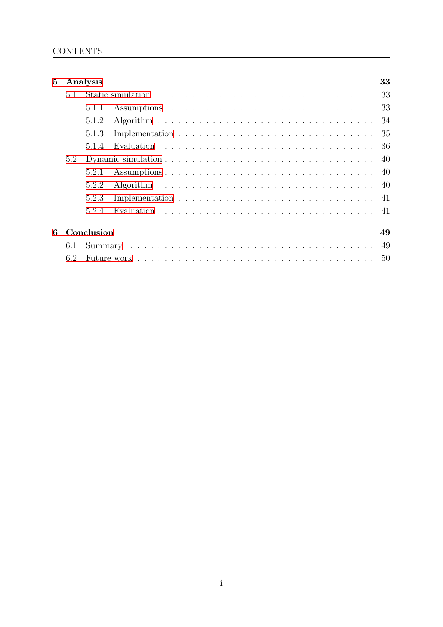| 5 <sup>5</sup> |     | Analysis   | 33 |  |
|----------------|-----|------------|----|--|
|                | 5.1 |            |    |  |
|                |     | 5.1.1      | 33 |  |
|                |     | 5.1.2      |    |  |
|                |     | 5.1.3      |    |  |
|                |     | 5.1.4      |    |  |
|                | 5.2 |            |    |  |
|                |     | 5.2.1      |    |  |
|                |     | 5.2.2      |    |  |
|                |     | 5.2.3      |    |  |
|                |     | 5.2.4      |    |  |
| 6              |     | Conclusion | 49 |  |
|                | 6.1 |            |    |  |
|                | 6.2 |            | 50 |  |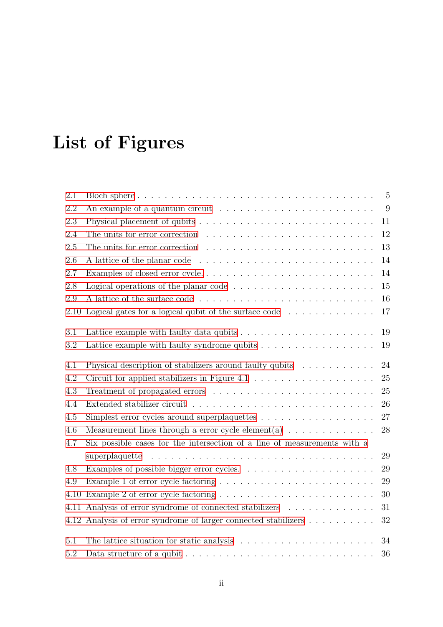# **List of Figures**

| 2.1  |                                                                                           | $\overline{5}$ |
|------|-------------------------------------------------------------------------------------------|----------------|
| 2.2  | An example of a quantum circuit $\ldots \ldots \ldots \ldots \ldots \ldots \ldots$        | 9              |
| 2.3  |                                                                                           | 11             |
| 2.4  | The units for error correction $\ldots \ldots \ldots \ldots \ldots \ldots \ldots \ldots$  | 12             |
| 2.5  |                                                                                           | 13             |
| 2.6  |                                                                                           | 14             |
| 2.7  | Examples of closed error cycle                                                            | 14             |
| 2.8  |                                                                                           | $15\,$         |
| 2.9  |                                                                                           | 16             |
| 2.10 | Logical gates for a logical qubit of the surface code $\dots \dots \dots \dots$           | 17             |
| 3.1  | Lattice example with faulty data qubits $\dots \dots \dots \dots \dots \dots \dots$       | 19             |
| 3.2  |                                                                                           | 19             |
| 4.1  | Physical description of stabilizers around faulty qubits $\ldots \ldots \ldots$           | 24             |
| 4.2  | Circuit for applied stabilizers in Figure 4.1 $\ldots \ldots \ldots \ldots \ldots \ldots$ | 25             |
| 4.3  |                                                                                           | 25             |
| 4.4  |                                                                                           | 26             |
| 4.5  | Simplest error cycles around superplaquettes $\dots \dots \dots \dots \dots \dots$        | 27             |
| 4.6  | Measurement lines through a error cycle element(a) $\ldots \ldots \ldots \ldots$          | 28             |
| 4.7  | Six possible cases for the intersection of a line of measurements with a                  |                |
|      |                                                                                           | 29             |
| 4.8  |                                                                                           | 29             |
| 4.9  |                                                                                           | 29             |
| 4.10 |                                                                                           | 30             |
| 4.11 | Analysis of error syndrome of connected stabilizers                                       | 31             |
|      | 4.12 Analysis of error syndrome of larger connected stabilizers                           | 32             |
| 5.1  | The lattice situation for static analysis $\ldots \ldots \ldots \ldots \ldots \ldots$     | 34             |
| 5.2  |                                                                                           | 36             |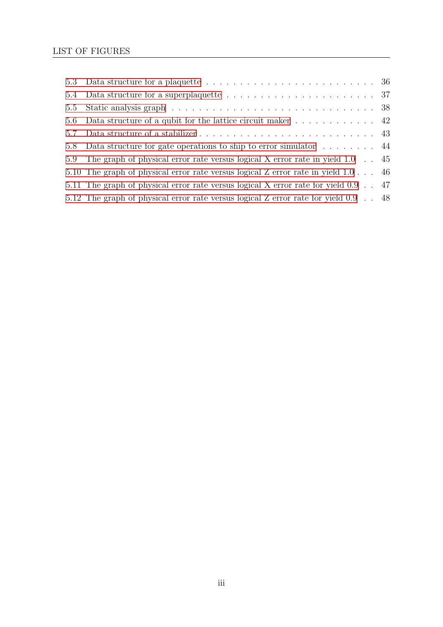| 5.6 Data structure of a qubit for the lattice circuit maker $\dots \dots \dots \dots$ 42   |  |
|--------------------------------------------------------------------------------------------|--|
|                                                                                            |  |
| 5.8 Data structure for gate operations to ship to error simulator $\dots \dots$ .          |  |
| 5.9 The graph of physical error rate versus logical X error rate in yield 1.0 . 45         |  |
| 5.10 The graph of physical error rate versus logical Z error rate in yield $1.0 \ldots$ 46 |  |
| 5.11 The graph of physical error rate versus logical X error rate for yield 0.9 . 47       |  |
| 5.12 The graph of physical error rate versus logical Z error rate for yield 0.9 . 48       |  |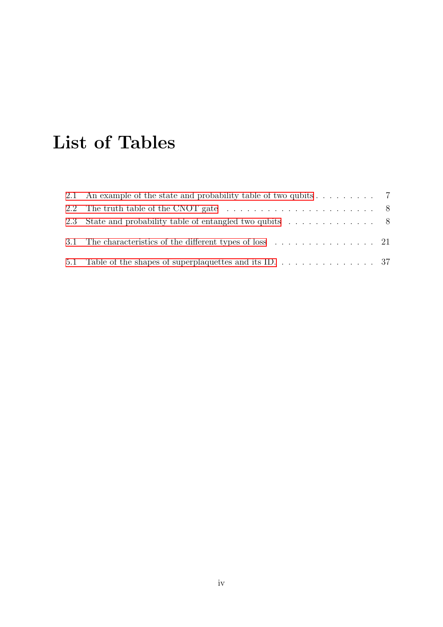# **List of Tables**

| 2.1 An example of the state and probability table of two qubits $\dots \dots \dots$ 7            |  |
|--------------------------------------------------------------------------------------------------|--|
| 2.2 The truth table of the CNOT gate $\ldots \ldots \ldots \ldots \ldots \ldots \ldots \ldots$ 8 |  |
|                                                                                                  |  |
|                                                                                                  |  |
|                                                                                                  |  |
| 5.1 Table of the shapes of superplaquettes and its ID. $\ldots$ 37                               |  |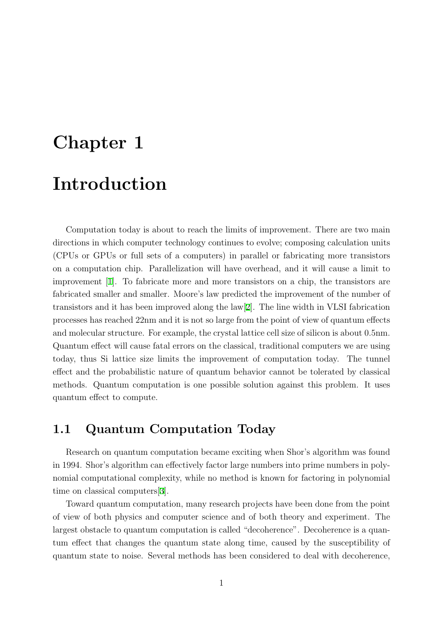# <span id="page-8-0"></span>**Chapter 1**

# **Introduction**

Computation today is about to reach the limits of improvement. There are two main directions in which computer technology continues to evolve; composing calculation units (CPUs or GPUs or full sets of a computers) in parallel or fabricating more transistors on a computation chip. Parallelization will have overhead, and it will cause a limit to improvement [1]. To fabricate more and more transistors on a chip, the transistors are fabricated smaller and smaller. Moore's law predicted the improvement of the number of transistors and it has been improved along the law[2]. The line width in VLSI fabrication processes has [rea](#page-59-0)ched 22nm and it is not so large from the point of view of quantum effects and molecular structure. For example, the crystal lattice cell size of silicon is about 0.5nm. Quantum effect will cause fatal errors on the classi[ca](#page-59-0)l, traditional computers we are using today, thus Si lattice size limits the improvement of computation today. The tunnel effect and the probabilistic nature of quantum behavior cannot be tolerated by classical methods. Quantum computation is one possible solution against this problem. It uses quantum effect to compute.

### **1.1 Quantum Computation Today**

Research on quantum computation became exciting when Shor's algorithm was found in 1994. Shor's algorithm can effectively factor large numbers into prime numbers in polynomial computational complexity, while no method is known for factoring in polynomial time on classical computers[3].

Toward quantum computation, many research projects have been done from the point of view of both physics and computer science and of both theory and experiment. The largest obstacle to quantum [co](#page-59-0)mputation is called "decoherence". Decoherence is a quantum effect that changes the quantum state along time, caused by the susceptibility of quantum state to noise. Several methods has been considered to deal with decoherence,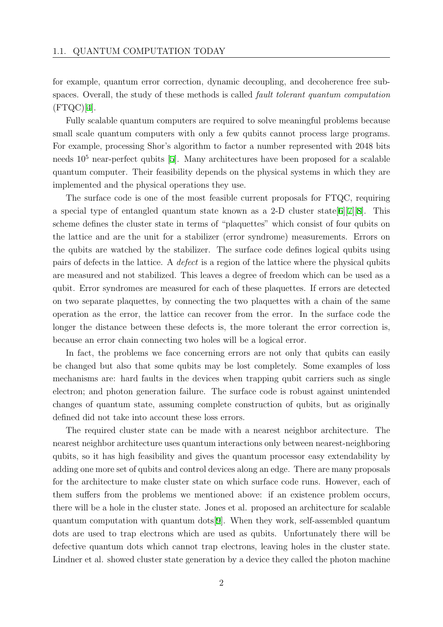for example, quantum error correction, dynamic decoupling, and decoherence free subspaces. Overall, the study of these methods is called *fault tolerant quantum computation*  $(FTQC)[4]$ .

Fully scalable quantum computers are required to solve meaningful problems because small scale quantum computers with only a few qubits cannot process large programs. For exa[mp](#page-59-0)le, processing Shor's algorithm to factor a number represented with 2048 bits needs 10<sup>5</sup> near-perfect qubits [5]. Many architectures have been proposed for a scalable quantum computer. Their feasibility depends on the physical systems in which they are implemented and the physical operations they use.

The surface code is one of [t](#page-59-0)he most feasible current proposals for FTQC, requiring a special type of entangled quantum state known as a 2-D cluster state  $6\frac{|7|}{8}$ . This scheme defines the cluster state in terms of "plaquettes" which consist of four qubits on the lattice and are the unit for a stabilizer (error syndrome) measurements. Errors on the qubits are watched by the stabilizer. The surface code defines logica[l](#page-59-0) q[ubit](#page-59-0)s using pairs of defects in the lattice. A *defect* is a region of the lattice where the physical qubits are measured and not stabilized. This leaves a degree of freedom which can be used as a qubit. Error syndromes are measured for each of these plaquettes. If errors are detected on two separate plaquettes, by connecting the two plaquettes with a chain of the same operation as the error, the lattice can recover from the error. In the surface code the longer the distance between these defects is, the more tolerant the error correction is, because an error chain connecting two holes will be a logical error.

In fact, the problems we face concerning errors are not only that qubits can easily be changed but also that some qubits may be lost completely. Some examples of loss mechanisms are: hard faults in the devices when trapping qubit carriers such as single electron; and photon generation failure. The surface code is robust against unintended changes of quantum state, assuming complete construction of qubits, but as originally defined did not take into account these loss errors.

The required cluster state can be made with a nearest neighbor architecture. The nearest neighbor architecture uses quantum interactions only between nearest-neighboring qubits, so it has high feasibility and gives the quantum processor easy extendability by adding one more set of qubits and control devices along an edge. There are many proposals for the architecture to make cluster state on which surface code runs. However, each of them suffers from the problems we mentioned above: if an existence problem occurs, there will be a hole in the cluster state. Jones et al. proposed an architecture for scalable quantum computation with quantum dots[9]. When they work, self-assembled quantum dots are used to trap electrons which are used as qubits. Unfortunately there will be defective quantum dots which cannot trap electrons, leaving holes in the cluster state. Lindner et al. showed cluster state generati[on](#page-59-0) by a device they called the photon machine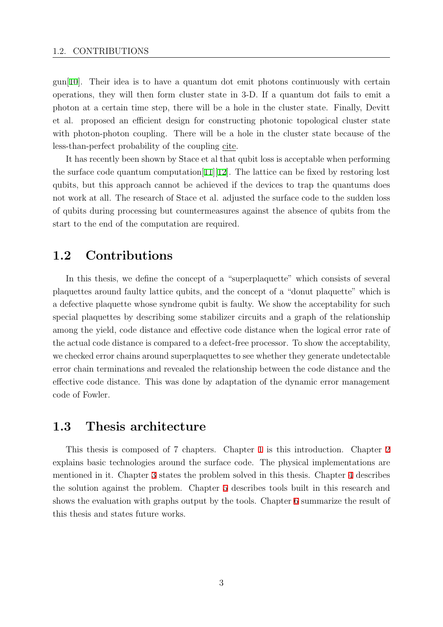<span id="page-10-0"></span>gun[10]. Their idea is to have a quantum dot emit photons continuously with certain operations, they will then form cluster state in 3-D. If a quantum dot fails to emit a photon at a certain time step, there will be a hole in the cluster state. Finally, Devitt et a[l.](#page-60-0) proposed an efficient design for constructing photonic topological cluster state with photon-photon coupling. There will be a hole in the cluster state because of the less-than-perfect probability of the coupling cite.

It has recently been shown by Stace et al that qubit loss is acceptable when performing the surface code quantum computation  $[11][12]$ . The lattice can be fixed by restoring lost qubits, but this approach cannot be achieved if the devices to trap the quantums does not work at all. The research of Stace et al. adjusted the surface code to the sudden loss of qubits during processing but counte[rmeasu](#page-60-0)res against the absence of qubits from the start to the end of the computation are required.

# **1.2 Contributions**

In this thesis, we define the concept of a "superplaquette" which consists of several plaquettes around faulty lattice qubits, and the concept of a "donut plaquette" which is a defective plaquette whose syndrome qubit is faulty. We show the acceptability for such special plaquettes by describing some stabilizer circuits and a graph of the relationship among the yield, code distance and effective code distance when the logical error rate of the actual code distance is compared to a defect-free processor. To show the acceptability, we checked error chains around superplaquettes to see whether they generate undetectable error chain terminations and revealed the relationship between the code distance and the effective code distance. This was done by adaptation of the dynamic error management code of Fowler.

### **1.3 Thesis architecture**

This thesis is composed of 7 chapters. Chapter 1 is this introduction. Chapter 2 explains basic technologies around the surface code. The physical implementations are mentioned in it. Chapter 3 states the problem solved in this thesis. Chapter 4 describes the solution against the problem. Chapter 5 describ[es](#page-8-0) tools built in this research an[d](#page-11-0) shows the evaluation with graphs output by the tools. Chapter 6 summarize the result of this thesis and states futu[re](#page-25-0) works.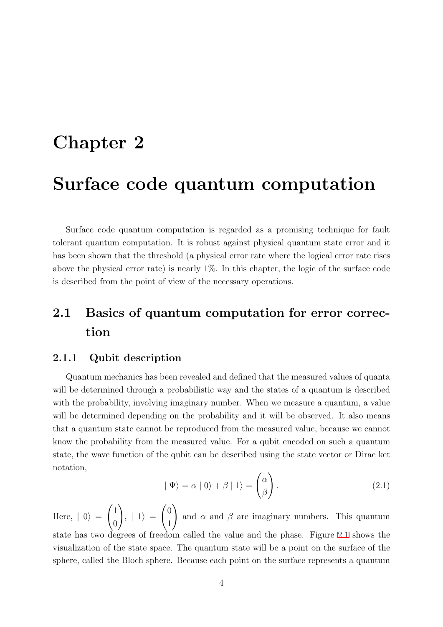# <span id="page-11-0"></span>**Chapter 2**

# **Surface code quantum computation**

Surface code quantum computation is regarded as a promising technique for fault tolerant quantum computation. It is robust against physical quantum state error and it has been shown that the threshold (a physical error rate where the logical error rate rises above the physical error rate) is nearly  $1\%$ . In this chapter, the logic of the surface code is described from the point of view of the necessary operations.

# **2.1 Basics of quantum computation for error correction**

### **2.1.1 Qubit description**

Quantum mechanics has been revealed and defined that the measured values of quanta will be determined through a probabilistic way and the states of a quantum is described with the probability, involving imaginary number. When we measure a quantum, a value will be determined depending on the probability and it will be observed. It also means that a quantum state cannot be reproduced from the measured value, because we cannot know the probability from the measured value. For a qubit encoded on such a quantum state, the wave function of the qubit can be described using the state vector or Dirac ket notation,

$$
|\Psi\rangle = \alpha |0\rangle + \beta |1\rangle = \begin{pmatrix} \alpha \\ \beta \end{pmatrix}.
$$
 (2.1)

Here,  $| 0 \rangle =$  $\sqrt{1}$ 0  $\setminus$  $, | 1 \rangle =$  $\sqrt{0}$ 1  $\setminus$ and  $\alpha$  and  $\beta$  are imaginary numbers. This quantum state has two degrees of freedom called the value and the phase. Figure 2.1 shows the visualization of the state space. The quantum state will be a point on the surface of the sphere, called the Bloch sphere. Because each point on the surface represents a quantum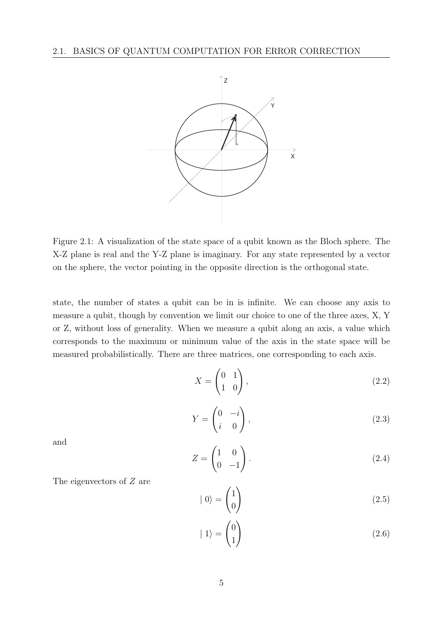<span id="page-12-0"></span>

Figure 2.1: A visualization of the state space of a qubit known as the Bloch sphere. The X-Z plane is real and the Y-Z plane is imaginary. For any state represented by a vector on the sphere, the vector pointing in the opposite direction is the orthogonal state.

state, the number of states a qubit can be in is infinite. We can choose any axis to measure a qubit, though by convention we limit our choice to one of the three axes, X, Y or Z, without loss of generality. When we measure a qubit along an axis, a value which corresponds to the maximum or minimum value of the axis in the state space will be measured probabilistically. There are three matrices, one corresponding to each axis.

$$
X = \begin{pmatrix} 0 & 1 \\ 1 & 0 \end{pmatrix},\tag{2.2}
$$

$$
Y = \begin{pmatrix} 0 & -i \\ i & 0 \end{pmatrix},\tag{2.3}
$$

and

$$
Z = \begin{pmatrix} 1 & 0 \\ 0 & -1 \end{pmatrix} . \tag{2.4}
$$

The eigenvectors of *Z* are

$$
|0\rangle = \begin{pmatrix} 1 \\ 0 \end{pmatrix} \tag{2.5}
$$

$$
|1\rangle = \begin{pmatrix} 0 \\ 1 \end{pmatrix} \tag{2.6}
$$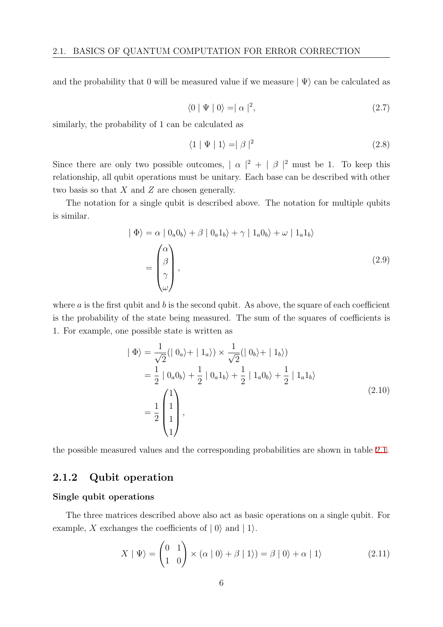<span id="page-13-0"></span>and the probability that 0 will be measured value if we measure  $|\Psi\rangle$  can be calculated as

$$
\langle 0 | \Psi | 0 \rangle = | \alpha |^2, \qquad (2.7)
$$

similarly, the probability of 1 can be calculated as

$$
\langle 1 | \Psi | 1 \rangle = | \beta |^2 \tag{2.8}
$$

Since there are only two possible outcomes,  $| \alpha |^2 + | \beta |^2$  must be 1. To keep this relationship, all qubit operations must be unitary. Each base can be described with other two basis so that *X* and *Z* are chosen generally.

The notation for a single qubit is described above. The notation for multiple qubits is similar.

$$
|\Phi\rangle = \alpha |0_a 0_b\rangle + \beta |0_a 1_b\rangle + \gamma |1_a 0_b\rangle + \omega |1_a 1_b\rangle
$$
  
= 
$$
\begin{pmatrix} \alpha \\ \beta \\ \gamma \\ \omega \end{pmatrix},
$$
 (2.9)

where  $a$  is the first qubit and  $b$  is the second qubit. As above, the square of each coefficient is the probability of the state being measured. The sum of the squares of coefficients is 1. For example, one possible state is written as

$$
\begin{aligned}\n|\Phi\rangle &= \frac{1}{\sqrt{2}} (|\ 0_a \rangle + | 1_a \rangle) \times \frac{1}{\sqrt{2}} (|\ 0_b \rangle + | 1_b \rangle) \\
&= \frac{1}{2} |0_a 0_b \rangle + \frac{1}{2} |0_a 1_b \rangle + \frac{1}{2} |1_a 0_b \rangle + \frac{1}{2} |1_a 1_b \rangle \\
&= \frac{1}{2} \begin{pmatrix} 1 \\ 1 \\ 1 \\ 1 \end{pmatrix},\n\end{aligned} \tag{2.10}
$$

the possible measured values and the corresponding probabilities are shown in table 2.1.

### **2.1.2 Qubit operation**

#### **Single qubit operations**

The three matrices described above also act as basic operations on a single qubit. For example, *X* exchanges the coefficients of  $|0\rangle$  and  $|1\rangle$ .

$$
X | \Psi \rangle = \begin{pmatrix} 0 & 1 \\ 1 & 0 \end{pmatrix} \times (\alpha | 0 \rangle + \beta | 1 \rangle) = \beta | 0 \rangle + \alpha | 1 \rangle \tag{2.11}
$$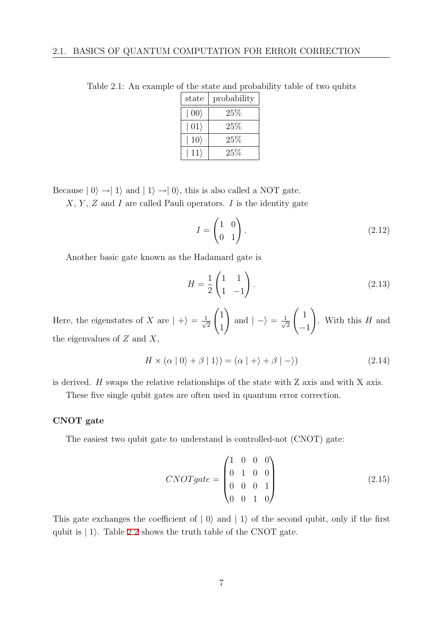| state        | probability |
|--------------|-------------|
| $ 00\rangle$ | $25\%$      |
| $ 01\rangle$ | $25\%$      |
| $10\rangle$  | $25\%$      |
| $11\rangle$  | $25\%$      |

Table 2.1: An example of the state and probability table of two qubits

Because  $|0\rangle \rightarrow |1\rangle$  and  $|1\rangle \rightarrow |0\rangle$ , this is also called a NOT gate.

*X*, *Y* , *Z* and *I* are called Pauli operators. *I* is the identity gate

$$
I = \begin{pmatrix} 1 & 0 \\ 0 & 1 \end{pmatrix}.
$$
 (2.12)

Another basic gate known as the Hadamard gate is

$$
H = \frac{1}{2} \begin{pmatrix} 1 & 1 \\ 1 & -1 \end{pmatrix} . \tag{2.13}
$$

Here, the eigenstates of *X* are  $| + \rangle = \frac{1}{\sqrt{2}}$ 2  $\sqrt{1}$ 1  $\setminus$ and  $| - \rangle = \frac{1}{\sqrt{2}}$ 2  $\left( \begin{array}{c} 1 \end{array} \right)$ *−*1  $\setminus$ . With this *H* and the eigenvalues of *Z* and *X*,

$$
H \times (\alpha | 0 \rangle + \beta | 1 \rangle) = (\alpha | + \rangle + \beta | - \rangle)
$$
\n(2.14)

is derived. *H* swaps the relative relationships of the state with Z axis and with X axis.

These five single qubit gates are often used in quantum error correction.

#### **CNOT gate**

The easiest two qubit gate to understand is controlled-not (CNOT) gate:

$$
CNOT gate = \begin{pmatrix} 1 & 0 & 0 & 0 \\ 0 & 1 & 0 & 0 \\ 0 & 0 & 0 & 1 \\ 0 & 0 & 1 & 0 \end{pmatrix}
$$
 (2.15)

This gate exchanges the coefficient of  $| 0 \rangle$  and  $| 1 \rangle$  of the second qubit, only if the first qubit is *|* 1*i*. Table 2.2 shows the truth table of the CNOT gate.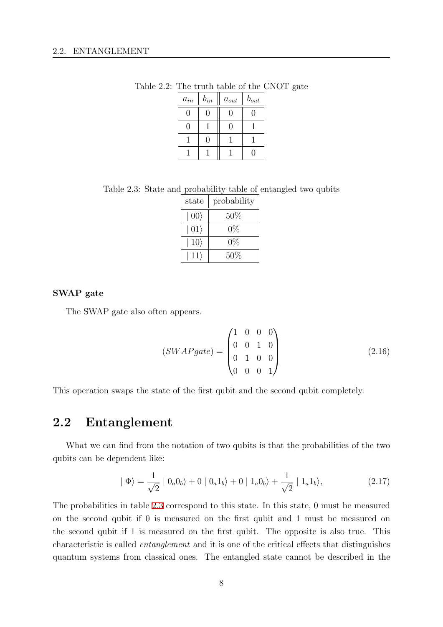| $\boldsymbol{a}_{in}$ | $b_{in}$ | $a_{out}$ | $b_{out}$ |
|-----------------------|----------|-----------|-----------|
| ( )                   | 0        | 0         | 0         |
| 0                     |          | 0         |           |
|                       | 0        |           |           |
|                       |          |           | 0         |

<span id="page-15-0"></span>Table 2.2: The truth table of the CNOT gate

Table 2.3: State and probability table of entangled two qubits

| state        | probability |
|--------------|-------------|
| $ 00\rangle$ | 50%         |
| $ 01\rangle$ | $0\%$       |
| $10\rangle$  | $0\%$       |
| $11\rangle$  | $50\%$      |

#### **SWAP gate**

The SWAP gate also often appears.

$$
(SWAPgate) = \begin{pmatrix} 1 & 0 & 0 & 0 \\ 0 & 0 & 1 & 0 \\ 0 & 1 & 0 & 0 \\ 0 & 0 & 0 & 1 \end{pmatrix}
$$
 (2.16)

This operation swaps the state of the first qubit and the second qubit completely.

### **2.2 Entanglement**

What we can find from the notation of two qubits is that the probabilities of the two qubits can be dependent like:

$$
|\Phi\rangle = \frac{1}{\sqrt{2}} |0_a 0_b\rangle + 0 |0_a 1_b\rangle + 0 |1_a 0_b\rangle + \frac{1}{\sqrt{2}} |1_a 1_b\rangle,
$$
 (2.17)

The probabilities in table 2.3 correspond to this state. In this state, 0 must be measured on the second qubit if 0 is measured on the first qubit and 1 must be measured on the second qubit if 1 is measured on the first qubit. The opposite is also true. This characteristic is called *entanglement* and it is one of the critical effects that distinguishes quantum systems from classical ones. The entangled state cannot be described in the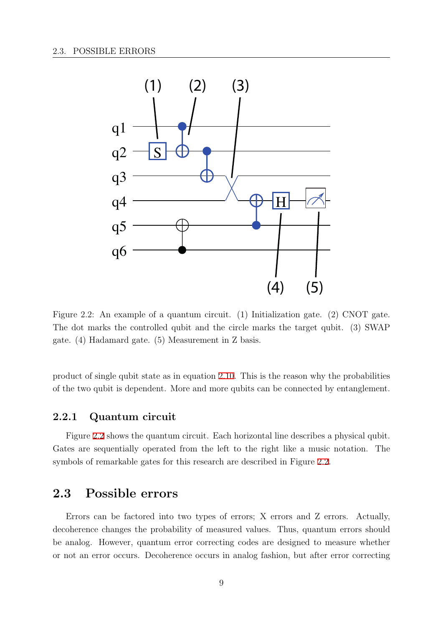<span id="page-16-0"></span>

Figure 2.2: An example of a quantum circuit. (1) Initialization gate. (2) CNOT gate. The dot marks the controlled qubit and the circle marks the target qubit. (3) SWAP gate. (4) Hadamard gate. (5) Measurement in Z basis.

product of single qubit state as in equation 2.10. This is the reason why the probabilities of the two qubit is dependent. More and more qubits can be connected by entanglement.

### **2.2.1 Quantum circuit**

Figure 2.2 shows the quantum circuit. Each horizontal line describes a physical qubit. Gates are sequentially operated from the left to the right like a music notation. The symbols of remarkable gates for this research are described in Figure 2.2.

### **2.3 Possible errors**

Errors can be factored into two types of errors; X errors and Z errors. Actually, decoherence changes the probability of measured values. Thus, quantum errors should be analog. However, quantum error correcting codes are designed to measure whether or not an error occurs. Decoherence occurs in analog fashion, but after error correcting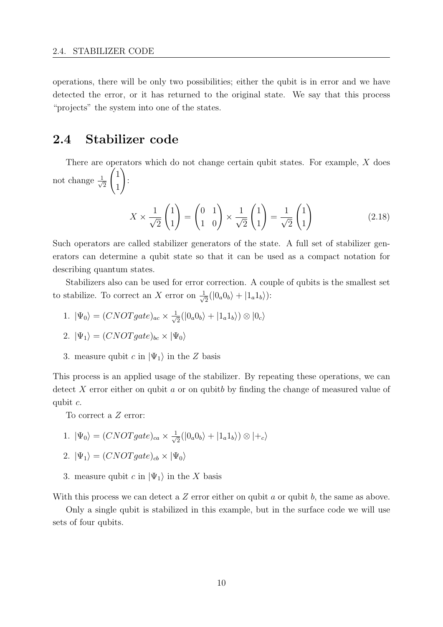<span id="page-17-0"></span>operations, there will be only two possibilities; either the qubit is in error and we have detected the error, or it has returned to the original state. We say that this process "projects" the system into one of the states.

# **2.4 Stabilizer code**

There are operators which do not change certain qubit states. For example, *X* does not change *<sup>√</sup>* 1 2  $\sqrt{1}$ 1  $\setminus$ :

$$
X \times \frac{1}{\sqrt{2}} \begin{pmatrix} 1 \\ 1 \end{pmatrix} = \begin{pmatrix} 0 & 1 \\ 1 & 0 \end{pmatrix} \times \frac{1}{\sqrt{2}} \begin{pmatrix} 1 \\ 1 \end{pmatrix} = \frac{1}{\sqrt{2}} \begin{pmatrix} 1 \\ 1 \end{pmatrix}
$$
(2.18)

Such operators are called stabilizer generators of the state. A full set of stabilizer generators can determine a qubit state so that it can be used as a compact notation for describing quantum states.

Stabilizers also can be used for error correction. A couple of qubits is the smallest set to stabilize. To correct an *X* error on  $\frac{1}{\sqrt{2}}$  $\frac{1}{2}(|0_a0_b\rangle + |1_a1_b\rangle)$ :

1.  $|\Psi_0\rangle = (CNOT gate)_{ac} \times \frac{1}{\sqrt{2}}$  $\frac{1}{2}(|0_a0_b\rangle + |1_a1_b\rangle) \otimes |0_c\rangle$ 

2. 
$$
|\Psi_1\rangle = (CNOT gate)_{bc} \times |\Psi_0\rangle
$$

3. measure qubit *c* in  $|\Psi_1\rangle$  in the *Z* basis

This process is an applied usage of the stabilizer. By repeating these operations, we can detect *X* error either on qubit *a* or on qubit*b* by finding the change of measured value of qubit *c*.

To correct a *Z* error:

1.  $|\Psi_0\rangle = (CNOT gate)_{ca} \times \frac{1}{\sqrt{2}}$  $\frac{1}{2}(|0_a0_b\rangle + |1_a1_b\rangle) \otimes |+_c\rangle$ 

2. 
$$
|\Psi_1\rangle = (CNOT gate)_{cb} \times |\Psi_0\rangle
$$

3. measure qubit *c* in  $|\Psi_1\rangle$  in the *X* basis

With this process we can detect a *Z* error either on qubit *a* or qubit *b*, the same as above.

Only a single qubit is stabilized in this example, but in the surface code we will use sets of four qubits.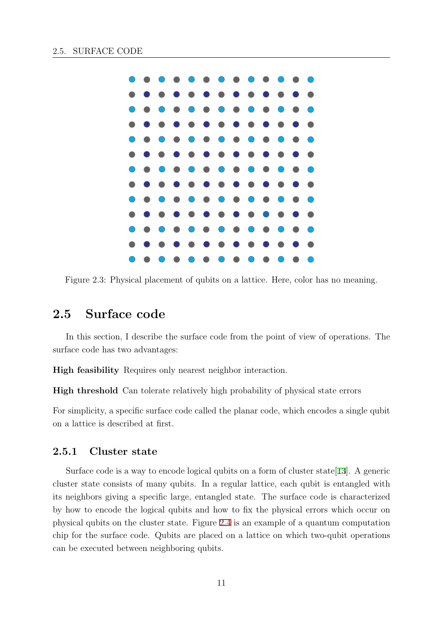<span id="page-18-0"></span>

Figure 2.3: Physical placement of qubits on a lattice. Here, color has no meaning.

# **2.5 Surface code**

In this section, I describe the surface code from the point of view of operations. The surface code has two advantages:

**High feasibility** Requires only nearest neighbor interaction.

**High threshold** Can tolerate relatively high probability of physical state errors

For simplicity, a specific surface code called the planar code, which encodes a single qubit on a lattice is described at first.

### **2.5.1 Cluster state**

Surface code is a way to encode logical qubits on a form of cluster state[13]. A generic cluster state consists of many qubits. In a regular lattice, each qubit is entangled with its neighbors giving a specific large, entangled state. The surface code is characterized by how to encode the logical qubits and how to fix the physical errors [whic](#page-60-0)h occur on physical qubits on the cluster state. Figure 2.4 is an example of a quantum computation chip for the surface code. Qubits are placed on a lattice on which two-qubit operations can be executed between neighboring qubits.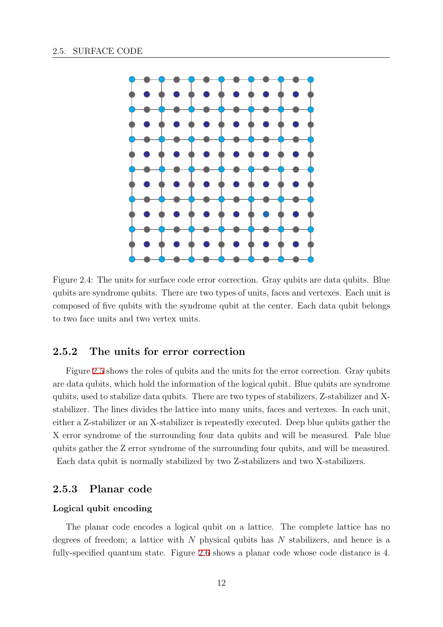<span id="page-19-0"></span>

Figure 2.4: The units for surface code error correction. Gray qubits are data qubits. Blue qubits are syndrome qubits. There are two types of units, faces and vertexes. Each unit is composed of five qubits with the syndrome qubit at the center. Each data qubit belongs to two face units and two vertex units.

### **2.5.2 The units for error correction**

Figure 2.5 shows the roles of qubits and the units for the error correction. Gray qubits are data qubits, which hold the information of the logical qubit. Blue qubits are syndrome qubits, used to stabilize data qubits. There are two types of stabilizers, Z-stabilizer and Xstabilizer. [Th](#page-20-0)e lines divides the lattice into many units, faces and vertexes. In each unit, either a Z-stabilizer or an X-stabilizer is repeatedly executed. Deep blue qubits gather the X error syndrome of the surrounding four data qubits and will be measured. Pale blue qubits gather the Z error syndrome of the surrounding four qubits, and will be measured. Each data qubit is normally stabilized by two Z-stabilizers and two X-stabilizers.

#### **2.5.3 Planar code**

#### **Logical qubit encoding**

The planar code encodes a logical qubit on a lattice. The complete lattice has no degrees of freedom; a lattice with *N* physical qubits has *N* stabilizers, and hence is a fully-specified quantum state. Figure 2.6 shows a planar code whose code distance is 4.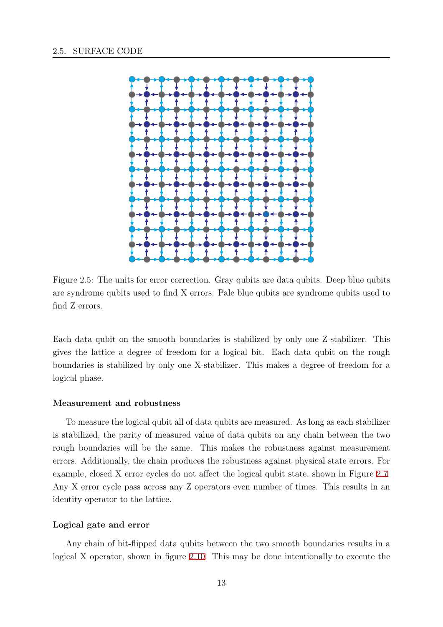<span id="page-20-0"></span>

Figure 2.5: The units for error correction. Gray qubits are data qubits. Deep blue qubits are syndrome qubits used to find X errors. Pale blue qubits are syndrome qubits used to find Z errors.

Each data qubit on the smooth boundaries is stabilized by only one Z-stabilizer. This gives the lattice a degree of freedom for a logical bit. Each data qubit on the rough boundaries is stabilized by only one X-stabilizer. This makes a degree of freedom for a logical phase.

#### **Measurement and robustness**

To measure the logical qubit all of data qubits are measured. As long as each stabilizer is stabilized, the parity of measured value of data qubits on any chain between the two rough boundaries will be the same. This makes the robustness against measurement errors. Additionally, the chain produces the robustness against physical state errors. For example, closed X error cycles do not affect the logical qubit state, shown in Figure 2.7. Any X error cycle pass across any Z operators even number of times. This results in an identity operator to the lattice.

#### **Logical gate and error**

Any chain of bit-flipped data qubits between the two smooth boundaries results in a logical X operator, shown in figure 2.10. This may be done intentionally to execute the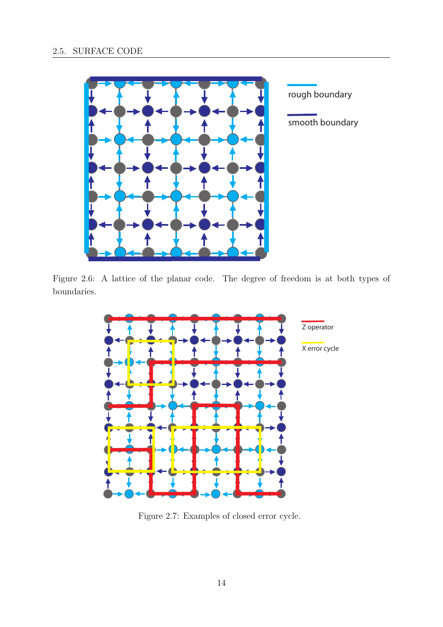<span id="page-21-0"></span>

Figure 2.6: A lattice of the planar code. The degree of freedom is at both types of boundaries.



Figure 2.7: Examples of closed error cycle.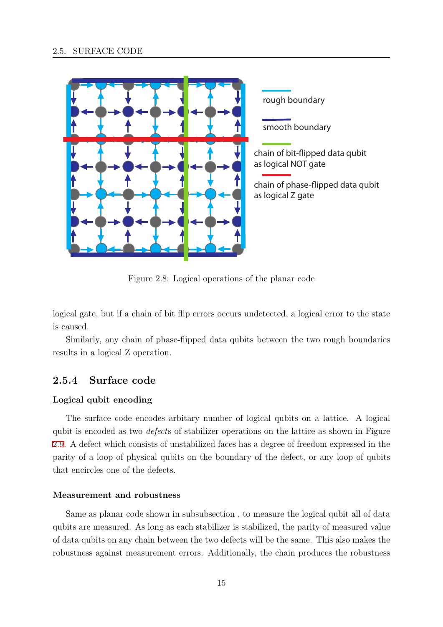<span id="page-22-0"></span>

Figure 2.8: Logical operations of the planar code

logical gate, but if a chain of bit flip errors occurs undetected, a logical error to the state is caused.

Similarly, any chain of phase-flipped data qubits between the two rough boundaries results in a logical Z operation.

### **2.5.4 Surface code**

#### **Logical qubit encoding**

The surface code encodes arbitary number of logical qubits on a lattice. A logical qubit is encoded as two *defect*s of stabilizer operations on the lattice as shown in Figure 2.9. A defect which consists of unstabilized faces has a degree of freedom expressed in the parity of a loop of physical qubits on the boundary of the defect, or any loop of qubits that encircles one of the defects.

#### **Measurement and robustness**

Same as planar code shown in subsubsection , to measure the logical qubit all of data qubits are measured. As long as each stabilizer is stabilized, the parity of measured value of data qubits on any chain between the two defects will be the same. This also makes the robustness against measurement errors. Additionally, the chain produces the robustness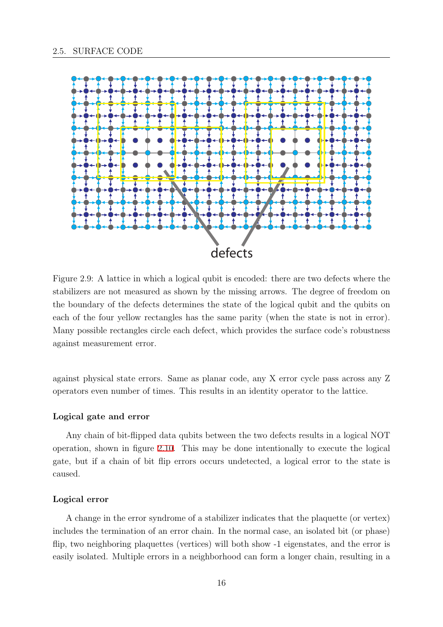<span id="page-23-0"></span>

Figure 2.9: A lattice in which a logical qubit is encoded: there are two defects where the stabilizers are not measured as shown by the missing arrows. The degree of freedom on the boundary of the defects determines the state of the logical qubit and the qubits on each of the four yellow rectangles has the same parity (when the state is not in error). Many possible rectangles circle each defect, which provides the surface code's robustness against measurement error.

against physical state errors. Same as planar code, any X error cycle pass across any Z operators even number of times. This results in an identity operator to the lattice.

#### **Logical gate and error**

Any chain of bit-flipped data qubits between the two defects results in a logical NOT operation, shown in figure 2.10. This may be done intentionally to execute the logical gate, but if a chain of bit flip errors occurs undetected, a logical error to the state is caused.

#### **Logical error**

A change in the error syndrome of a stabilizer indicates that the plaquette (or vertex) includes the termination of an error chain. In the normal case, an isolated bit (or phase) flip, two neighboring plaquettes (vertices) will both show -1 eigenstates, and the error is easily isolated. Multiple errors in a neighborhood can form a longer chain, resulting in a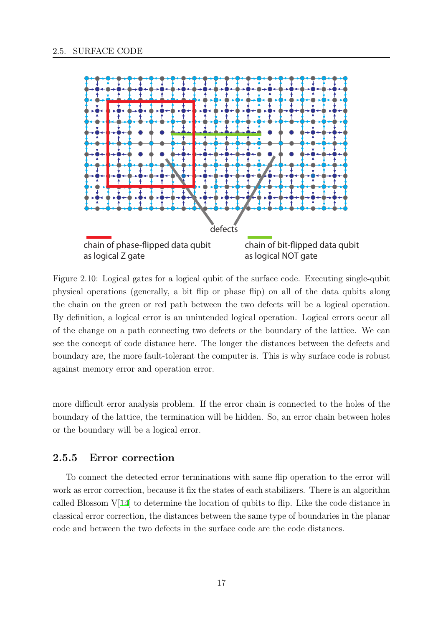<span id="page-24-0"></span>

Figure 2.10: Logical gates for a logical qubit of the surface code. Executing single-qubit physical operations (generally, a bit flip or phase flip) on all of the data qubits along the chain on the green or red path between the two defects will be a logical operation. By definition, a logical error is an unintended logical operation. Logical errors occur all of the change on a path connecting two defects or the boundary of the lattice. We can see the concept of code distance here. The longer the distances between the defects and boundary are, the more fault-tolerant the computer is. This is why surface code is robust against memory error and operation error.

more difficult error analysis problem. If the error chain is connected to the holes of the boundary of the lattice, the termination will be hidden. So, an error chain between holes or the boundary will be a logical error.

#### **2.5.5 Error correction**

To connect the detected error terminations with same flip operation to the error will work as error correction, because it fix the states of each stabilizers. There is an algorithm called Blossom  $V[14]$  to determine the location of qubits to flip. Like the code distance in classical error correction, the distances between the same type of boundaries in the planar code and between the two defects in the surface code are the code distances.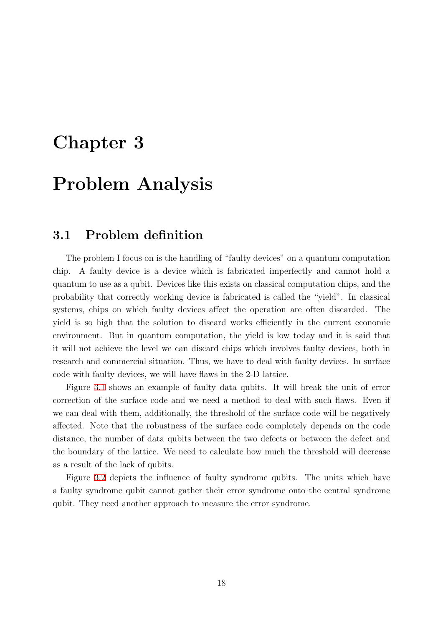# <span id="page-25-0"></span>**Chapter 3**

# **Problem Analysis**

### **3.1 Problem definition**

The problem I focus on is the handling of "faulty devices" on a quantum computation chip. A faulty device is a device which is fabricated imperfectly and cannot hold a quantum to use as a qubit. Devices like this exists on classical computation chips, and the probability that correctly working device is fabricated is called the "yield". In classical systems, chips on which faulty devices affect the operation are often discarded. The yield is so high that the solution to discard works efficiently in the current economic environment. But in quantum computation, the yield is low today and it is said that it will not achieve the level we can discard chips which involves faulty devices, both in research and commercial situation. Thus, we have to deal with faulty devices. In surface code with faulty devices, we will have flaws in the 2-D lattice.

Figure 3.1 shows an example of faulty data qubits. It will break the unit of error correction of the surface code and we need a method to deal with such flaws. Even if we can deal with them, additionally, the threshold of the surface code will be negatively affected. [Note](#page-26-0) that the robustness of the surface code completely depends on the code distance, the number of data qubits between the two defects or between the defect and the boundary of the lattice. We need to calculate how much the threshold will decrease as a result of the lack of qubits.

Figure 3.2 depicts the influence of faulty syndrome qubits. The units which have a faulty syndrome qubit cannot gather their error syndrome onto the central syndrome qubit. They need another approach to measure the error syndrome.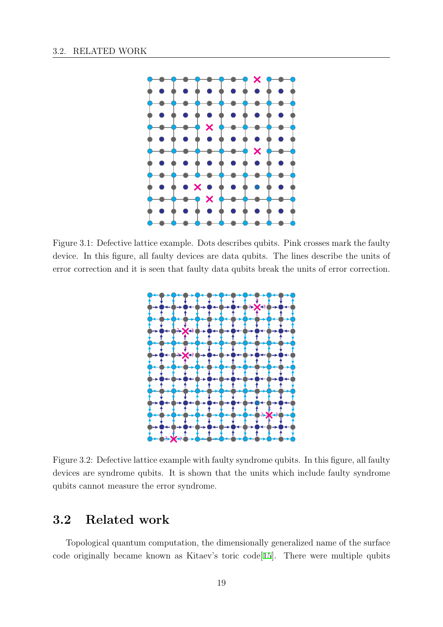<span id="page-26-0"></span>

Figure 3.1: Defective lattice example. Dots describes qubits. Pink crosses mark the faulty device. In this figure, all faulty devices are data qubits. The lines describe the units of error correction and it is seen that faulty data qubits break the units of error correction.



Figure 3.2: Defective lattice example with faulty syndrome qubits. In this figure, all faulty devices are syndrome qubits. It is shown that the units which include faulty syndrome qubits cannot measure the error syndrome.

# **3.2 Related work**

Topological quantum computation, the dimensionally generalized name of the surface code originally became known as Kitaev's toric code[15]. There were multiple qubits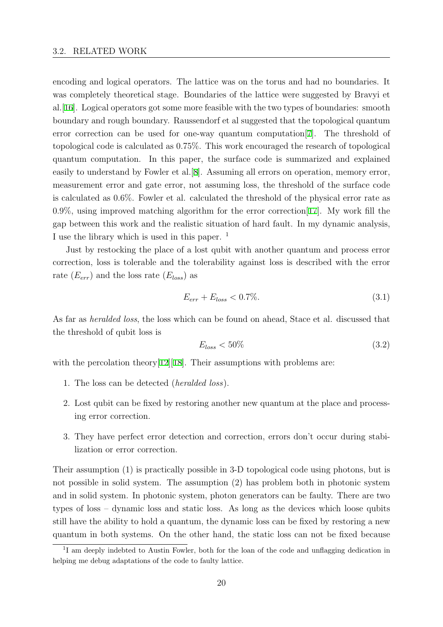<span id="page-27-0"></span>encoding and logical operators. The lattice was on the torus and had no boundaries. It was completely theoretical stage. Boundaries of the lattice were suggested by Bravyi et al.[16]. Logical operators got some more feasible with the two types of boundaries: smooth boundary and rough boundary. Raussendorf et al suggested that the topological quantum error correction can be used for one-way quantum computation[7]. The threshold of to[polo](#page-60-0)gical code is calculated as 0.75%. This work encouraged the research of topological quantum computation. In this paper, the surface code is summarized and explained easily to understand by Fowler et al.[8]. Assuming all errors on op[era](#page-59-0)tion, memory error, measurement error and gate error, not assuming loss, the threshold of the surface code is calculated as 0.6%. Fowler et al. calculated the threshold of the physical error rate as  $0.9\%$ , using improved matching algo[ri](#page-59-0)thm for the error correction [17]. My work fill the gap between this work and the realistic situation of hard fault. In my dynamic analysis, I use the library which is used in this paper.  $<sup>1</sup>$ </sup>

Just by restocking the place of a lost qubit with another quant[um](#page-60-0) and process error correction, loss is tolerable and the tolerability against loss is described with the error rate (*Eerr*) and the loss rate (*Eloss*) as

$$
E_{err} + E_{loss} < 0.7\%.\tag{3.1}
$$

As far as *heralded loss*, the loss which can be found on ahead, Stace et al. discussed that the threshold of qubit loss is

$$
E_{loss} < 50\% \tag{3.2}
$$

with the percolation theory  $[12][18]$ . Their assumptions with problems are:

- 1. The loss can be detected (*heralded loss*).
- 2. Lost qubit can be fixe[d b](#page-60-0)y [re](#page-60-0)storing another new quantum at the place and processing error correction.
- 3. They have perfect error detection and correction, errors don't occur during stabilization or error correction.

Their assumption (1) is practically possible in 3-D topological code using photons, but is not possible in solid system. The assumption (2) has problem both in photonic system and in solid system. In photonic system, photon generators can be faulty. There are two types of loss – dynamic loss and static loss. As long as the devices which loose qubits still have the ability to hold a quantum, the dynamic loss can be fixed by restoring a new quantum in both systems. On the other hand, the static loss can not be fixed because

<sup>&</sup>lt;sup>1</sup>I am deeply indebted to Austin Fowler, both for the loan of the code and unflagging dedication in helping me debug adaptations of the code to faulty lattice.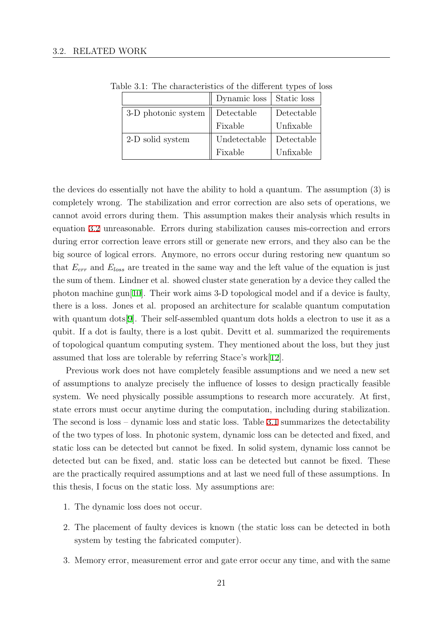|                                            | Dynamic loss   Static loss |            |
|--------------------------------------------|----------------------------|------------|
| 3-D photonic system $\parallel$ Detectable |                            | Detectable |
|                                            | Fixable                    | Unfixable  |
| 2-D solid system                           | Undetectable               | Detectable |
|                                            | Fixable                    | Unfixable  |

Table 3.1: The characteristics of the different types of loss

the devices do essentially not have the ability to hold a quantum. The assumption (3) is completely wrong. The stabilization and error correction are also sets of operations, we cannot avoid errors during them. This assumption makes their analysis which results in equation 3.2 unreasonable. Errors during stabilization causes mis-correction and errors during error correction leave errors still or generate new errors, and they also can be the big source of logical errors. Anymore, no errors occur during restoring new quantum so that *Eerr* [and](#page-27-0) *Eloss* are treated in the same way and the left value of the equation is just the sum of them. Lindner et al. showed cluster state generation by a device they called the photon machine gun<sup>[10]</sup>. Their work aims 3-D topological model and if a device is faulty, there is a loss. Jones et al. proposed an architecture for scalable quantum computation with quantum dots<sup>[9]</sup>. Their self-assembled quantum dots holds a electron to use it as a qubit. If a dot is fau[lty,](#page-60-0) there is a lost qubit. Devitt et al. summarized the requirements of topological quantum computing system. They mentioned about the loss, but they just assumed that loss a[re](#page-59-0) tolerable by referring Stace's work[12].

Previous work does not have completely feasible assumptions and we need a new set of assumptions to analyze precisely the influence of losses to design practically feasible system. We need physically possible assumptions to res[ear](#page-60-0)ch more accurately. At first, state errors must occur anytime during the computation, including during stabilization. The second is loss – dynamic loss and static loss. Table 3.1 summarizes the detectability of the two types of loss. In photonic system, dynamic loss can be detected and fixed, and static loss can be detected but cannot be fixed. In solid system, dynamic loss cannot be detected but can be fixed, and. static loss can be detected but cannot be fixed. These are the practically required assumptions and at last we need full of these assumptions. In this thesis, I focus on the static loss. My assumptions are:

- 1. The dynamic loss does not occur.
- 2. The placement of faulty devices is known (the static loss can be detected in both system by testing the fabricated computer).
- 3. Memory error, measurement error and gate error occur any time, and with the same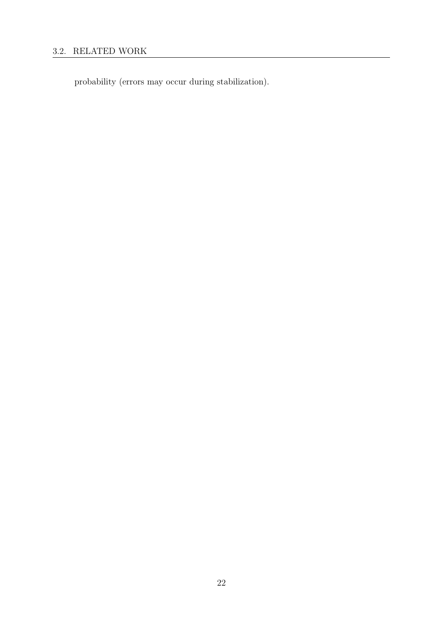# 3.2. RELATED WORK

probability (errors may occur during stabilization).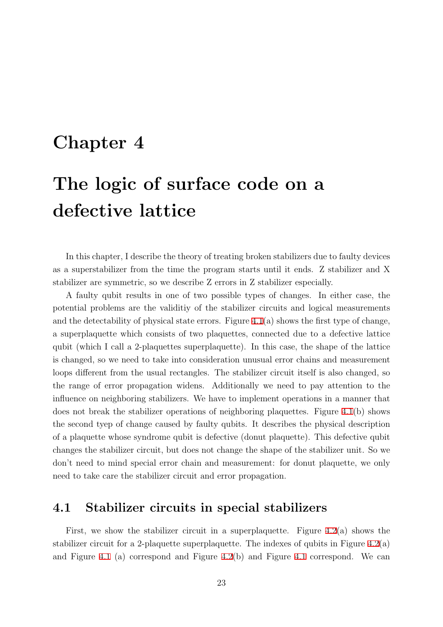# <span id="page-30-0"></span>**Chapter 4**

# **The logic of surface code on a defective lattice**

In this chapter, I describe the theory of treating broken stabilizers due to faulty devices as a superstabilizer from the time the program starts until it ends. Z stabilizer and X stabilizer are symmetric, so we describe Z errors in Z stabilizer especially.

A faulty qubit results in one of two possible types of changes. In either case, the potential problems are the validitiy of the stabilizer circuits and logical measurements and the detectability of physical state errors. Figure  $4.1(a)$  shows the first type of change, a superplaquette which consists of two plaquettes, connected due to a defective lattice qubit (which I call a 2-plaquettes superplaquette). In this case, the shape of the lattice is changed, so we need to take into consideration u[nusu](#page-31-0)al error chains and measurement loops different from the usual rectangles. The stabilizer circuit itself is also changed, so the range of error propagation widens. Additionally we need to pay attention to the influence on neighboring stabilizers. We have to implement operations in a manner that does not break the stabilizer operations of neighboring plaquettes. Figure 4.1(b) shows the second tyep of change caused by faulty qubits. It describes the physical description of a plaquette whose syndrome qubit is defective (donut plaquette). This defective qubit changes the stabilizer circuit, but does not change the shape of the stabilize[r un](#page-31-0)it. So we don't need to mind special error chain and measurement: for donut plaquette, we only need to take care the stabilizer circuit and error propagation.

### **4.1 Stabilizer circuits in special stabilizers**

First, we show the stabilizer circuit in a superplaquette. Figure  $4.2(a)$  shows the stabilizer circuit for a 2-plaquette superplaquette. The indexes of qubits in Figure  $4.2(a)$ and Figure 4.1 (a) correspond and Figure 4.2(b) and Figure 4.1 correspond. We can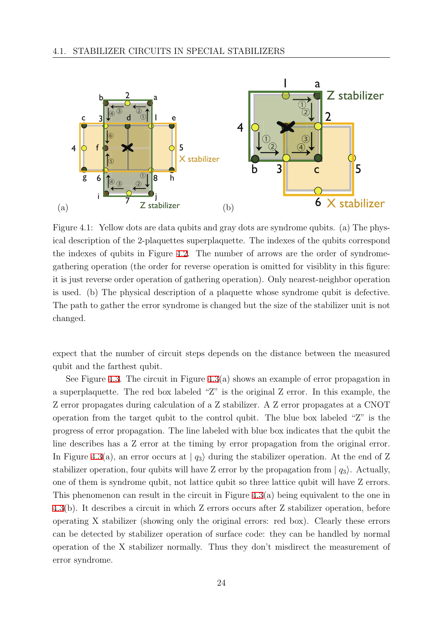<span id="page-31-0"></span>

Figure 4.1: Yellow dots are data qubits and gray dots are syndrome qubits. (a) The physical description of the 2-plaquettes superplaquette. The indexes of the qubits correspond the indexes of qubits in Figure 4.2. The number of arrows are the order of syndromegathering operation (the order for reverse operation is omitted for visiblity in this figure: it is just reverse order operation of gathering operation). Only nearest-neighbor operation is used. (b) The physical descri[ptio](#page-32-0)n of a plaquette whose syndrome qubit is defective. The path to gather the error syndrome is changed but the size of the stabilizer unit is not changed.

expect that the number of circuit steps depends on the distance between the measured qubit and the farthest qubit.

See Figure 4.3. The circuit in Figure 4.3(a) shows an example of error propagation in a superplaquette. The red box labeled "Z" is the original Z error. In this example, the Z error propagates during calculation of a Z stabilizer. A Z error propagates at a CNOT operation fro[m th](#page-32-0)e target qubit to the [con](#page-32-0)trol qubit. The blue box labeled "Z" is the progress of error propagation. The line labeled with blue box indicates that the qubit the line describes has a Z error at the timing by error propagation from the original error. In Figure 4.3(a), an error occurs at  $|q_3\rangle$  during the stabilizer operation. At the end of Z stabilizer operation, four qubits will have Z error by the propagation from  $|q_3\rangle$ . Actually, one of them is syndrome qubit, not lattice qubit so three lattice qubit will have Z errors. This phe[nom](#page-32-0)enon can result in the circuit in Figure 4.3(a) being equivalent to the one in 4.3(b). It describes a circuit in which Z errors occurs after Z stabilizer operation, before operating X stabilizer (showing only the original errors: red box). Clearly these errors can be detected by stabilizer operation of surface c[ode:](#page-32-0) they can be handled by normal [ope](#page-32-0)ration of the X stabilizer normally. Thus they don't misdirect the measurement of error syndrome.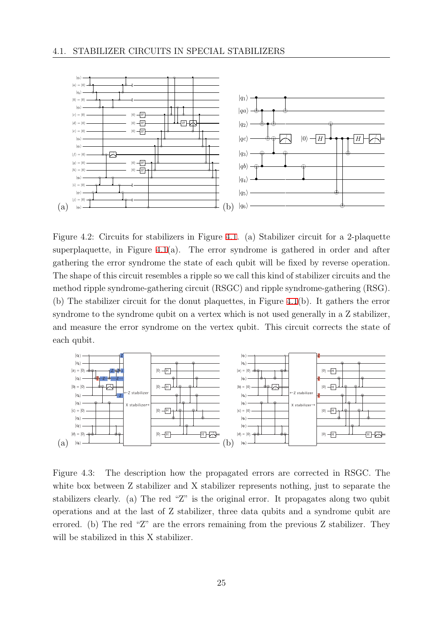<span id="page-32-0"></span>

Figure 4.2: Circuits for stabilizers in Figure 4.1. (a) Stabilizer circuit for a 2-plaquette superplaquette, in Figure  $4.1(a)$ . The error syndrome is gathered in order and after gathering the error syndrome the state of each qubit will be fixed by reverse operation. The shape of this circuit resembles a ripple so [we c](#page-31-0)all this kind of stabilizer circuits and the method ripple syndrome-ga[the](#page-31-0)ring circuit (RSGC) and ripple syndrome-gathering (RSG). (b) The stabilizer circuit for the donut plaquettes, in Figure 4.1(b). It gathers the error syndrome to the syndrome qubit on a vertex which is not used generally in a Z stabilizer, and measure the error syndrome on the vertex qubit. This circuit corrects the state of each qubit.



Figure 4.3: The description how the propagated errors are corrected in RSGC. The white box between Z stabilizer and X stabilizer represents nothing, just to separate the stabilizers clearly. (a) The red "Z" is the original error. It propagates along two qubit operations and at the last of Z stabilizer, three data qubits and a syndrome qubit are errored. (b) The red "Z" are the errors remaining from the previous Z stabilizer. They will be stabilized in this X stabilizer.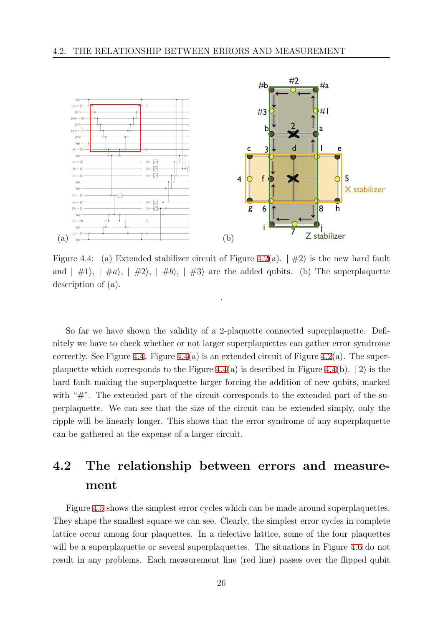<span id="page-33-0"></span>

Figure 4.4: (a) Extended stabilizer circuit of Figure 4.2(a). *|* #2*i* is the new hard fault and  $| \#1 \rangle$ ,  $| \#a \rangle$ ,  $| \#2 \rangle$ ,  $| \#b \rangle$ ,  $| \#3 \rangle$  are the added qubits. (b) The superplaquette description of (a).

.

So far we have shown the validity of a 2-plaquette connected superplaquette. Definitely we have to check whether or not larger superplaquettes can gather error syndrome correctly. See Figure 4.4. Figure 4.4(a) is an extended circuit of Figure 4.2(a). The superplaquette which corresponds to the Figure 4.4(a) is described in Figure 4.4(b). *|* 2*i* is the hard fault making the superplaquette larger forcing the addition of new qubits, marked with "#". The exten[ded](#page-32-0) part of the circuit corresponds to the extended part of the superplaquette. We can see that the size of the circuit can be extended simply, only the ripple will be linearly longer. This shows that the error syndrome of any superplaquette can be gathered at the expense of a larger circuit.

# **4.2 The relationship between errors and measurement**

Figure 4.5 shows the simplest error cycles which can be made around superplaquettes. They shape the smallest square we can see. Clearly, the simplest error cycles in complete lattice occur among four plaquettes. In a defective lattice, some of the four plaquettes will be a s[upe](#page-34-0)rplaquette or several superplaquettes. The situations in Figure 4.6 do not result in any problems. Each measurement line (red line) passes over the flipped qubit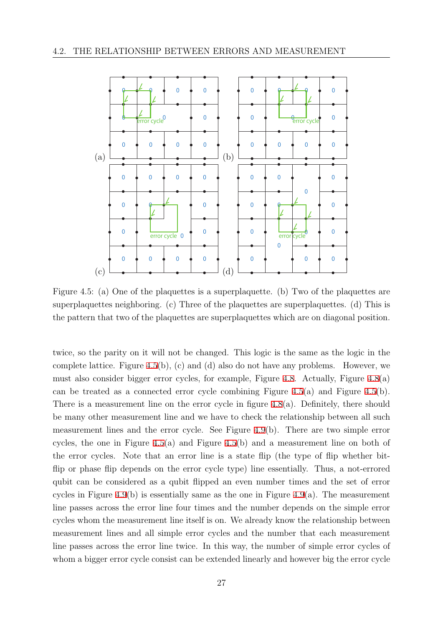<span id="page-34-0"></span>

Figure 4.5: (a) One of the plaquettes is a superplaquette. (b) Two of the plaquettes are superplaquettes neighboring. (c) Three of the plaquettes are superplaquettes. (d) This is the pattern that two of the plaquettes are superplaquettes which are on diagonal position.

twice, so the parity on it will not be changed. This logic is the same as the logic in the complete lattice. Figure 4.5(b), (c) and (d) also do not have any problems. However, we must also consider bigger error cycles, for example, Figure 4.8. Actually, Figure 4.8(a) can be treated as a connected error cycle combining Figure 4.5(a) and Figure 4.5(b). There is a measurement line on the error cycle in figure 4.8(a). Definitely, there should be many other measurement line and we have to check the [rela](#page-36-0)tionship between a[ll su](#page-36-0)ch measurement lines and the error cycle. See Figure 4.9(b). There are two simple error cycles, the one in Figure 4.5(a) and Figure 4.5(b) and [a m](#page-36-0)easurement line on both of the error cycles. Note that an error line is a state flip (the type of flip whether bitflip or phase flip depends on the error cycle type) l[ine](#page-36-0) essentially. Thus, a not-errored qubit can be considered as a qubit flipped an even number times and the set of error cycles in Figure 4.9(b) is essentially same as the one in Figure 4.9(a). The measurement line passes across the error line four times and the number depends on the simple error cycles whom the measurement line itself is on. We already know the relationship between measurement li[nes](#page-36-0) and all simple error cycles and the numbe[r th](#page-36-0)at each measurement line passes across the error line twice. In this way, the number of simple error cycles of whom a bigger error cycle consist can be extended linearly and however big the error cycle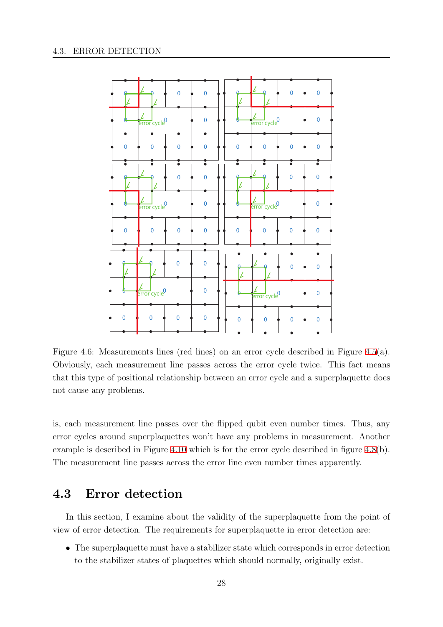<span id="page-35-0"></span>

Figure 4.6: Measurements lines (red lines) on an error cycle described in Figure 4.5(a). Obviously, each measurement line passes across the error cycle twice. This fact means that this type of positional relationship between an error cycle and a superplaquette does not cause any problems.

is, each measurement line passes over the flipped qubit even number times. Thus, any error cycles around superplaquettes won't have any problems in measurement. Another example is described in Figure 4.10 which is for the error cycle described in figure 4.8(b). The measurement line passes across the error line even number times apparently.

## **4.3 Error detecti[on](#page-37-0)**

In this section, I examine about the validity of the superplaquette from the point of view of error detection. The requirements for superplaquette in error detection are:

• The superplaquette must have a stabilizer state which corresponds in error detection to the stabilizer states of plaquettes which should normally, originally exist.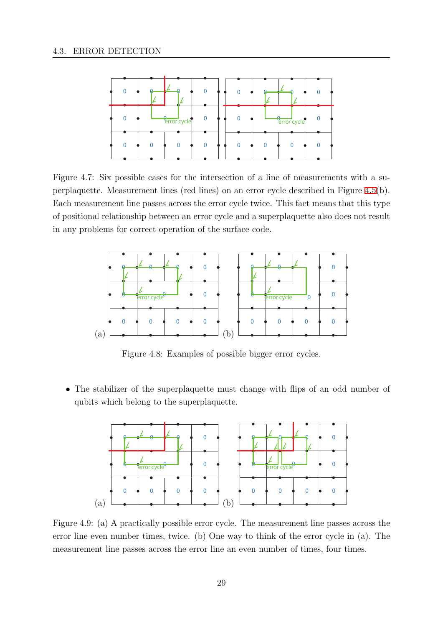<span id="page-36-0"></span>

Figure 4.7: Six possible cases for the intersection of a line of measurements with a superplaquette. Measurement lines (red lines) on an error cycle described in Figure 4.5(b). Each measurement line passes across the error cycle twice. This fact means that this type of positional relationship between an error cycle and a superplaquette also does not result in any problems for correct operation of the surface code.



Figure 4.8: Examples of possible bigger error cycles.

• The stabilizer of the superplaquette must change with flips of an odd number of qubits which belong to the superplaquette.



Figure 4.9: (a) A practically possible error cycle. The measurement line passes across the error line even number times, twice. (b) One way to think of the error cycle in (a). The measurement line passes across the error line an even number of times, four times.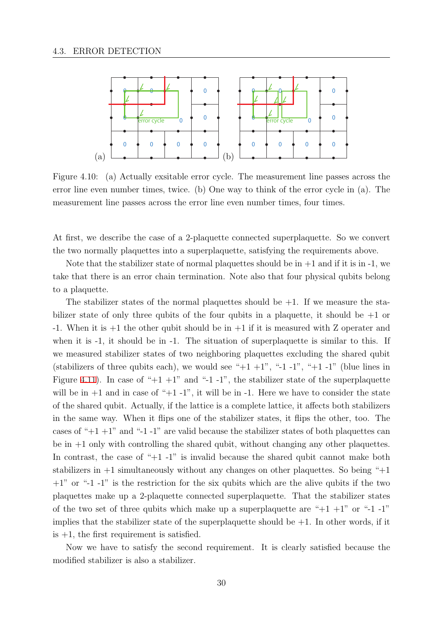<span id="page-37-0"></span>

Figure 4.10: (a) Actually exsitable error cycle. The measurement line passes across the error line even number times, twice. (b) One way to think of the error cycle in (a). The measurement line passes across the error line even number times, four times.

At first, we describe the case of a 2-plaquette connected superplaquette. So we convert the two normally plaquettes into a superplaquette, satisfying the requirements above.

Note that the stabilizer state of normal plaquettes should be in  $+1$  and if it is in  $-1$ , we take that there is an error chain termination. Note also that four physical qubits belong to a plaquette.

The stabilizer states of the normal plaquettes should be  $+1$ . If we measure the stabilizer state of only three qubits of the four qubits in a plaquette, it should be  $+1$  or -1. When it is  $+1$  the other qubit should be in  $+1$  if it is measured with Z operater and when it is -1, it should be in -1. The situation of superplaquette is similar to this. If we measured stabilizer states of two neighboring plaquettes excluding the shared qubit (stabilizers of three qubits each), we would see " $+1$   $+1$ ", " $-1$ -1", " $+1$   $-1$ " (blue lines in Figure 4.11). In case of " $+1$  +1" and "-1 -1", the stabilizer state of the superplaquette will be in  $+1$  and in case of " $+1$ -1", it will be in  $-1$ . Here we have to consider the state of the shared qubit. Actually, if the lattice is a complete lattice, it affects both stabilizers in the [same](#page-38-0) way. When it flips one of the stabilizer states, it flips the other, too. The cases of " $+1$  +1" and "-1 -1" are valid because the stabilizer states of both plaquettes can be in  $+1$  only with controlling the shared qubit, without changing any other plaquettes. In contrast, the case of " $+1$ -1" is invalid because the shared qubit cannot make both stabilizers in  $+1$  simultaneously without any changes on other plaquettes. So being " $+1$ "  $+1$ " or "-1 -1" is the restriction for the six qubits which are the alive qubits if the two plaquettes make up a 2-plaquette connected superplaquette. That the stabilizer states of the two set of three qubits which make up a superplaquette are " $+1$  +1" or "-1 -1" implies that the stabilizer state of the superplaquette should be  $+1$ . In other words, if it is  $+1$ , the first requirement is satisfied.

Now we have to satisfy the second requirement. It is clearly satisfied because the modified stabilizer is also a stabilizer.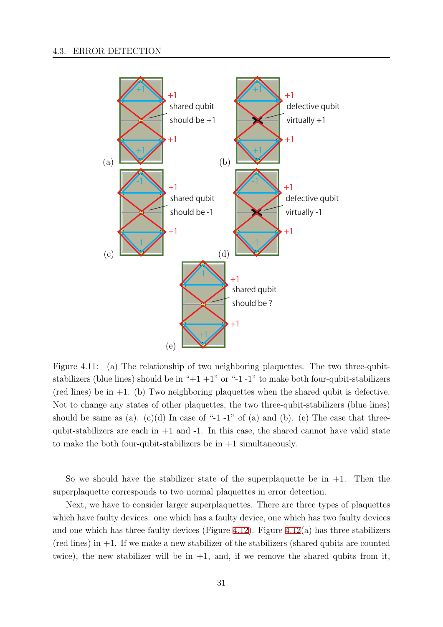<span id="page-38-0"></span>

Figure 4.11: (a) The relationship of two neighboring plaquettes. The two three-qubitstabilizers (blue lines) should be in " $+1+1$ " or " $-1-1$ " to make both four-qubit-stabilizers (red lines) be in  $+1$ . (b) Two neighboring plaquettes when the shared qubit is defective. Not to change any states of other plaquettes, the two three-qubit-stabilizers (blue lines) should be same as (a). (c)(d) In case of "-1 -1" of (a) and (b). (e) The case that threequbit-stabilizers are each in  $+1$  and  $-1$ . In this case, the shared cannot have valid state to make the both four-qubit-stabilizers be in  $+1$  simultaneously.

So we should have the stabilizer state of the superplaquette be in  $+1$ . Then the superplaquette corresponds to two normal plaquettes in error detection.

Next, we have to consider larger superplaquettes. There are three types of plaquettes which have faulty devices: one which has a faulty device, one which has two faulty devices and one which has three faulty devices (Figure 4.12). Figure 4.12(a) has three stabilizers  $(\text{red lines})$  in  $+1$ . If we make a new stabilizer of the stabilizers (shared qubits are counted twice), the new stabilizer will be in  $+1$ , and, if we remove the shared qubits from it,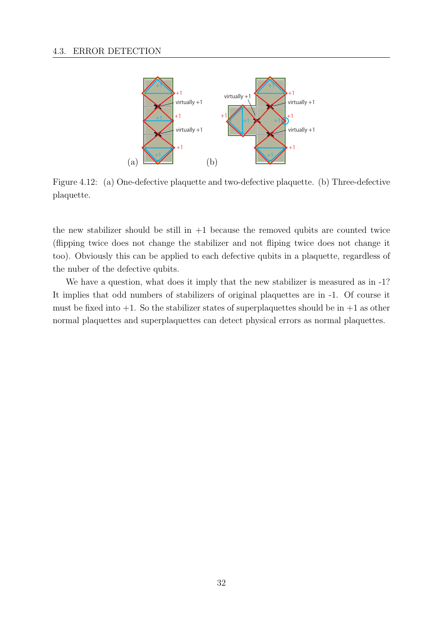<span id="page-39-0"></span>

Figure 4.12: (a) One-defective plaquette and two-defective plaquette. (b) Three-defective plaquette.

the new stabilizer should be still in  $+1$  because the removed qubits are counted twice (flipping twice does not change the stabilizer and not fliping twice does not change it too). Obviously this can be applied to each defective qubits in a plaquette, regardless of the nuber of the defective qubits.

We have a question, what does it imply that the new stabilizer is measured as in  $-1$ ? It implies that odd numbers of stabilizers of original plaquettes are in -1. Of course it must be fixed into  $+1$ . So the stabilizer states of superplaquettes should be in  $+1$  as other normal plaquettes and superplaquettes can detect physical errors as normal plaquettes.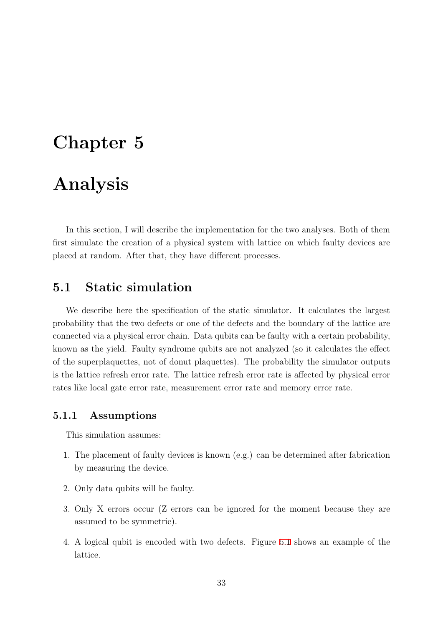# <span id="page-40-0"></span>**Chapter 5**

# **Analysis**

In this section, I will describe the implementation for the two analyses. Both of them first simulate the creation of a physical system with lattice on which faulty devices are placed at random. After that, they have different processes.

### **5.1 Static simulation**

We describe here the specification of the static simulator. It calculates the largest probability that the two defects or one of the defects and the boundary of the lattice are connected via a physical error chain. Data qubits can be faulty with a certain probability, known as the yield. Faulty syndrome qubits are not analyzed (so it calculates the effect of the superplaquettes, not of donut plaquettes). The probability the simulator outputs is the lattice refresh error rate. The lattice refresh error rate is affected by physical error rates like local gate error rate, measurement error rate and memory error rate.

### **5.1.1 Assumptions**

This simulation assumes:

- 1. The placement of faulty devices is known (e.g.) can be determined after fabrication by measuring the device.
- 2. Only data qubits will be faulty.
- 3. Only X errors occur (Z errors can be ignored for the moment because they are assumed to be symmetric).
- 4. A logical qubit is encoded with two defects. Figure 5.1 shows an example of the lattice.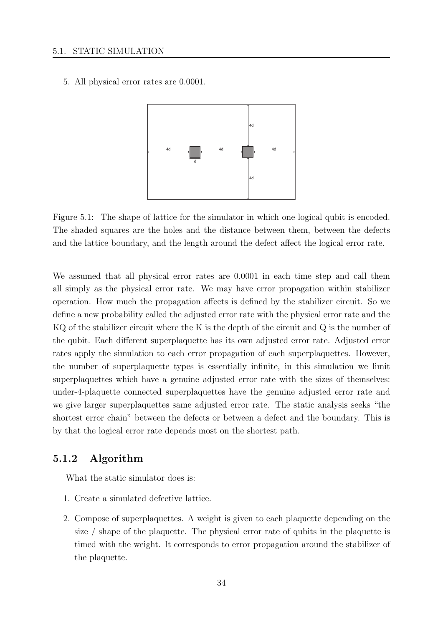<span id="page-41-0"></span>5. All physical error rates are 0*.*0001.



Figure 5.1: The shape of lattice for the simulator in which one logical qubit is encoded. The shaded squares are the holes and the distance between them, between the defects and the lattice boundary, and the length around the defect affect the logical error rate.

We assumed that all physical error rates are 0.0001 in each time step and call them all simply as the physical error rate. We may have error propagation within stabilizer operation. How much the propagation affects is defined by the stabilizer circuit. So we define a new probability called the adjusted error rate with the physical error rate and the KQ of the stabilizer circuit where the K is the depth of the circuit and Q is the number of the qubit. Each different superplaquette has its own adjusted error rate. Adjusted error rates apply the simulation to each error propagation of each superplaquettes. However, the number of superplaquette types is essentially infinite, in this simulation we limit superplaquettes which have a genuine adjusted error rate with the sizes of themselves: under-4-plaquette connected superplaquettes have the genuine adjusted error rate and we give larger superplaquettes same adjusted error rate. The static analysis seeks "the shortest error chain" between the defects or between a defect and the boundary. This is by that the logical error rate depends most on the shortest path.

### **5.1.2 Algorithm**

What the static simulator does is:

- 1. Create a simulated defective lattice.
- 2. Compose of superplaquettes. A weight is given to each plaquette depending on the size / shape of the plaquette. The physical error rate of qubits in the plaquette is timed with the weight. It corresponds to error propagation around the stabilizer of the plaquette.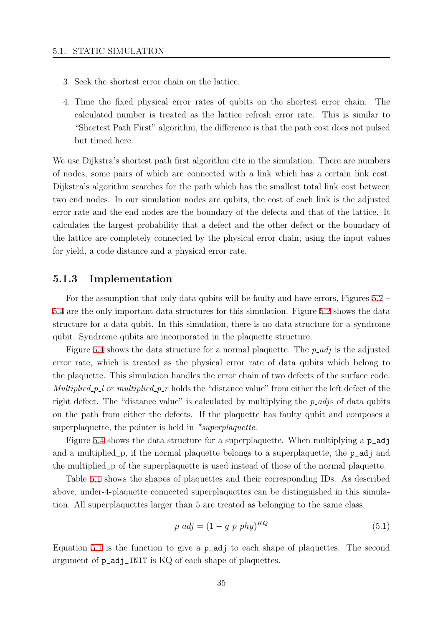- <span id="page-42-0"></span>3. Seek the shortest error chain on the lattice.
- 4. Time the fixed physical error rates of qubits on the shortest error chain. The calculated number is treated as the lattice refresh error rate. This is similar to "Shortest Path First" algorithm, the difference is that the path cost does not pulsed but timed here.

We use Dijkstra's shortest path first algorithm cite in the simulation. There are numbers of nodes, some pairs of which are connected with a link which has a certain link cost. Dijkstra's algorithm searches for the path which has the smallest total link cost between two end nodes. In our simulation nodes are qubits, the cost of each link is the adjusted error rate and the end nodes are the boundary of the defects and that of the lattice. It calculates the largest probability that a defect and the other defect or the boundary of the lattice are completely connected by the physical error chain, using the input values for yield, a code distance and a physical error rate.

### **5.1.3 Implementation**

For the assumption that only data qubits will be faulty and have errors, Figures 5.2 – 5.4 are the only important data structures for this simulation. Figure 5.2 shows the data structure for a data qubit. In this simulation, there is no data structure for a syndrome qubit. Syndrome qubits are incorporated in the plaquette structure.

Figure 5.4 shows the data structure for a normal plaquette. The *p [adj](#page-43-0)* is the adjusted error rate, which is treated as the physical error rate of data qubits which belong to the plaquette. This simulation handles the error chain of two defects of the surface code. *Multi[p](#page-44-0)lied\_p\_l* or *multiplied\_p\_r* holds the "distance value" from either the left defect of the right defect. The "distance value" is calculated by multiplying the *p\_adjs* of data qubits on the path from either the defects. If the plaquette has faulty qubit and composes a superplaquette, the pointer is held in *\*superplaquette*.

Figure 5.4 shows the data structure for a superplaquette. When multiplying a  $p\_adj$ and a multiplied\_p, if the normal plaquette belongs to a superplaquette, the p\_adj and the multiplied\_p of the superplaquette is used instead of those of the normal plaquette.

Table [5.1](#page-44-0) shows the shapes of plaquettes and their corresponding IDs. As described above, under-4-plaquette connected superplaquettes can be distinguished in this simulation. All superplaquettes larger than 5 are treated as belonging to the same class.

$$
p\_adj = (1 - g\_p\_phy)^{KQ} \tag{5.1}
$$

Equation 5.1 is the function to give a p\_adj to each shape of plaquettes. The second argument of p\_adj\_INIT is KQ of each shape of plaquettes.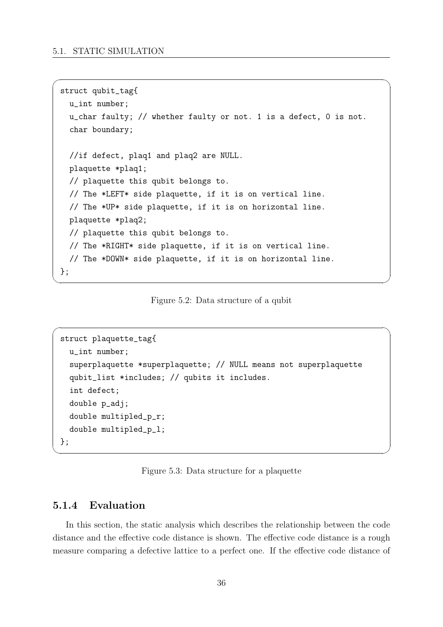```
struct qubit_tag{
 u_int number;
  u_char faulty; // whether faulty or not. 1 is a defect, 0 is not.
  char boundary;
 //if defect, plaq1 and plaq2 are NULL.
 plaquette *plaq1;
 // plaquette this qubit belongs to.
  // The *LEFT* side plaquette, if it is on vertical line.
 // The *UP* side plaquette, if it is on horizontal line.
 plaquette *plaq2;
  // plaquette this qubit belongs to.
  // The *RIGHT* side plaquette, if it is on vertical line.
  // The *DOWN* side plaquette, if it is on horizontal line.
};
```
<span id="page-43-0"></span> $\sqrt{2\pi}$ 

Figure 5.2: Data structure of a qubit

✒ ✑

 $\sqrt{2\pi}$ 

```
struct plaquette_tag{
 u_int number;
  superplaquette *superplaquette; // NULL means not superplaquette
  qubit_list *includes; // qubits it includes.
  int defect;
  double p_adj;
  double multipled_p_r;
  double multipled_p_l;
};
```
Figure 5.3: Data structure for a plaquette

✒ ✑

### **5.1.4 Evaluation**

In this section, the static analysis which describes the relationship between the code distance and the effective code distance is shown. The effective code distance is a rough measure comparing a defective lattice to a perfect one. If the effective code distance of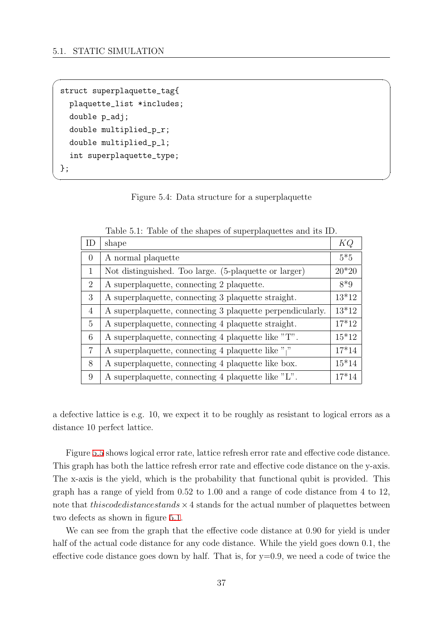```
struct superplaquette_tag{
  plaquette_list *includes;
  double p_adj;
  double multiplied_p_r;
  double multiplied_p_l;
  int superplaquette_type;
};
```
Figure 5.4: Data structure for a superplaquette

✒ ✑

<span id="page-44-0"></span> $\sqrt{2\pi}$ 

| ID             | shape                                                     | КQ      |
|----------------|-----------------------------------------------------------|---------|
| $\overline{0}$ | A normal plaquette                                        | $5*5$   |
| 1              | Not distinguished. Too large. (5-plaquette or larger)     | $20*20$ |
| 2              | A superplaquette, connecting 2 plaquette.                 | $8*9$   |
| 3              | A superplaquette, connecting 3 plaquette straight.        | $13*12$ |
| 4              | A superplaquette, connecting 3 plaquette perpendicularly. | $13*12$ |
| 5              | A superplaquette, connecting 4 plaquette straight.        | $17*12$ |
| 6              | A superplaquette, connecting 4 plaquette like "T".        | $15*12$ |
| 7              | A superplaquette, connecting 4 plaquette like " $\vert$ " | $17*14$ |
| 8              | A superplaquette, connecting 4 plaquette like box.        | $15*14$ |
| 9              | A superplaquette, connecting 4 plaquette like "L".        | $17*14$ |

Table 5.1: Table of the shapes of superplaquettes and its ID.

a defective lattice is e.g. 10, we expect it to be roughly as resistant to logical errors as a distance 10 perfect lattice.

Figure 5.5 shows logical error rate, lattice refresh error rate and effective code distance. This graph has both the lattice refresh error rate and effective code distance on the y-axis. The x-axis is the yield, which is the probability that functional qubit is provided. This graph has [a r](#page-45-0)ange of yield from 0.52 to 1.00 and a range of code distance from 4 to 12, note that *thiscodedistancestands ×*4 stands for the actual number of plaquettes between two defects as shown in figure 5.1.

We can see from the graph that the effective code distance at 0.90 for yield is under half of the actual code distance for any code distance. While the yield goes down 0.1, the effective code distance goes do[wn](#page-41-0) by half. That is, for  $y=0.9$ , we need a code of twice the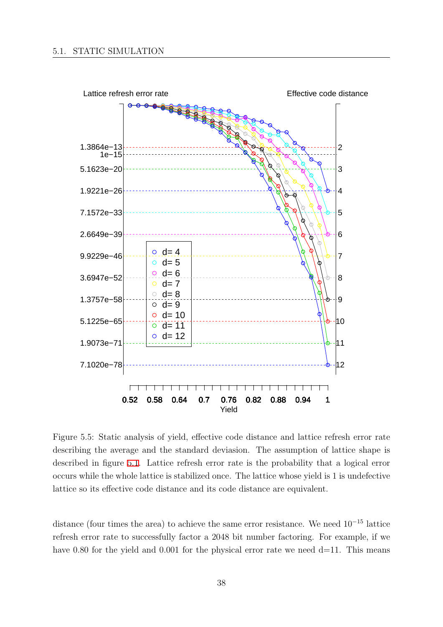<span id="page-45-0"></span>

Figure 5.5: Static analysis of yield, effective code distance and lattice refresh error rate describing the average and the standard deviasion. The assumption of lattice shape is described in figure 5.1. Lattice refresh error rate is the probability that a logical error occurs while the whole lattice is stabilized once. The lattice whose yield is 1 is undefective lattice so its effective code distance and its code distance are equivalent.

distance (four times the area) to achieve the same error resistance. We need 10*−*<sup>15</sup> lattice refresh error rate to successfully factor a 2048 bit number factoring. For example, if we have 0.80 for the yield and 0.001 for the physical error rate we need  $d=11$ . This means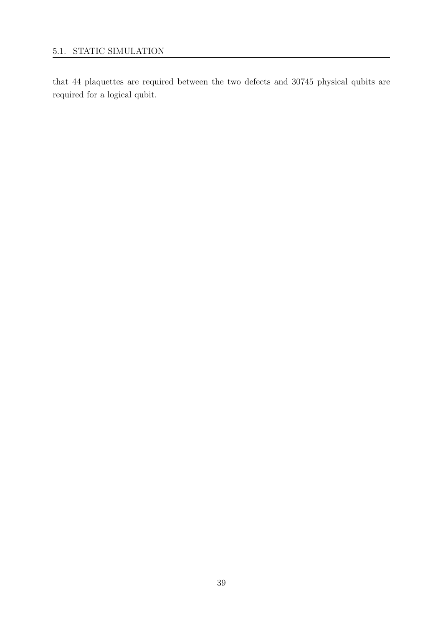that 44 plaquettes are required between the two defects and 30745 physical qubits are required for a logical qubit.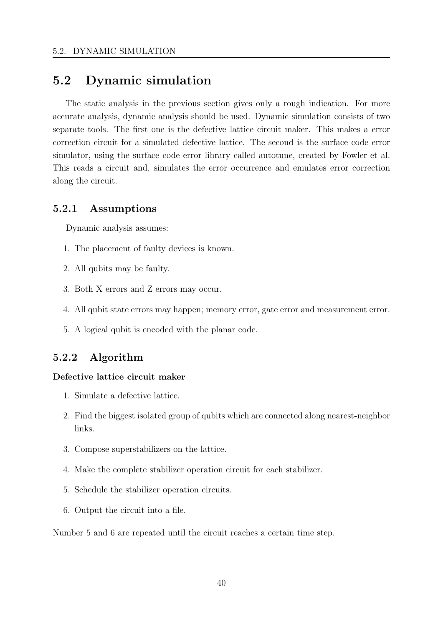### <span id="page-47-0"></span>**5.2 Dynamic simulation**

The static analysis in the previous section gives only a rough indication. For more accurate analysis, dynamic analysis should be used. Dynamic simulation consists of two separate tools. The first one is the defective lattice circuit maker. This makes a error correction circuit for a simulated defective lattice. The second is the surface code error simulator, using the surface code error library called autotune, created by Fowler et al. This reads a circuit and, simulates the error occurrence and emulates error correction along the circuit.

### **5.2.1 Assumptions**

Dynamic analysis assumes:

- 1. The placement of faulty devices is known.
- 2. All qubits may be faulty.
- 3. Both X errors and Z errors may occur.
- 4. All qubit state errors may happen; memory error, gate error and measurement error.
- 5. A logical qubit is encoded with the planar code.

### **5.2.2 Algorithm**

#### **Defective lattice circuit maker**

- 1. Simulate a defective lattice.
- 2. Find the biggest isolated group of qubits which are connected along nearest-neighbor links.
- 3. Compose superstabilizers on the lattice.
- 4. Make the complete stabilizer operation circuit for each stabilizer.
- 5. Schedule the stabilizer operation circuits.
- 6. Output the circuit into a file.

Number 5 and 6 are repeated until the circuit reaches a certain time step.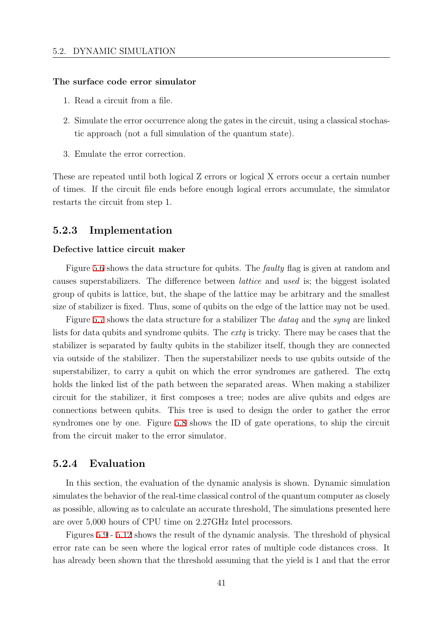#### <span id="page-48-0"></span>**The surface code error simulator**

- 1. Read a circuit from a file.
- 2. Simulate the error occurrence along the gates in the circuit, using a classical stochastic approach (not a full simulation of the quantum state).
- 3. Emulate the error correction.

These are repeated until both logical Z errors or logical X errors occur a certain number of times. If the circuit file ends before enough logical errors accumulate, the simulator restarts the circuit from step 1.

#### **5.2.3 Implementation**

#### **Defective lattice circuit maker**

Figure 5.6 shows the data structure for qubits. The *faulty* flag is given at random and causes superstabilizers. The difference between *lattice* and *used* is; the biggest isolated group of qubits is lattice, but, the shape of the lattice may be arbitrary and the smallest size of sta[biliz](#page-49-0)er is fixed. Thus, some of qubits on the edge of the lattice may not be used.

Figure 5.7 shows the data structure for a stabilizer The *dataq* and the *synq* are linked lists for data qubits and syndrome qubits. The *extq* is tricky. There may be cases that the stabilizer is separated by faulty qubits in the stabilizer itself, though they are connected via outsid[e of](#page-50-0) the stabilizer. Then the superstabilizer needs to use qubits outside of the superstabilizer, to carry a qubit on which the error syndromes are gathered. The extq holds the linked list of the path between the separated areas. When making a stabilizer circuit for the stabilizer, it first composes a tree; nodes are alive qubits and edges are connections between qubits. This tree is used to design the order to gather the error syndromes one by one. Figure 5.8 shows the ID of gate operations, to ship the circuit from the circuit maker to the error simulator.

#### **5.2.4 Evaluation**

In this section, the evaluation of the dynamic analysis is shown. Dynamic simulation simulates the behavior of the real-time classical control of the quantum computer as closely as possible, allowing as to calculate an accurate threshold, The simulations presented here are over 5,000 hours of CPU time on 2.27GHz Intel processors.

Figures 5.9 - 5.12 shows the result of the dynamic analysis. The threshold of physical error rate can be seen where the logical error rates of multiple code distances cross. It has already been shown that the threshold assuming that the yield is 1 and that the error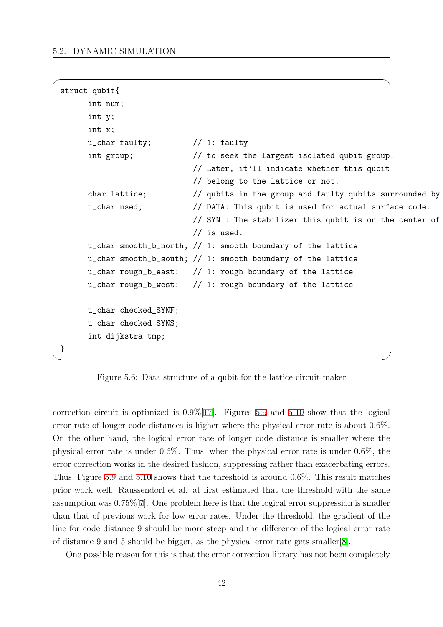<span id="page-49-0"></span>

| struct qubit{ |                      |                                                             |  |  |
|---------------|----------------------|-------------------------------------------------------------|--|--|
|               | int num;             |                                                             |  |  |
|               | int y;               |                                                             |  |  |
|               | int x;               |                                                             |  |  |
|               | u_char faulty;       | $\frac{1}{2}$ 1: faulty                                     |  |  |
|               | int group;           | // to seek the largest isolated qubit group.                |  |  |
|               |                      | // Later, it'll indicate whether this qubit                 |  |  |
|               |                      | // belong to the lattice or not.                            |  |  |
|               | char lattice;        | // qubits in the group and faulty qubits surrounded by sue  |  |  |
|               | u_char used;         | // DATA: This qubit is used for actual surface code.        |  |  |
|               |                      | // SYN : The stabilizer this qubit is on the center of      |  |  |
|               |                      | $//$ is used.                                               |  |  |
|               |                      | u_char smooth_b_north; // 1: smooth boundary of the lattice |  |  |
|               |                      | u_char smooth_b_south; // 1: smooth boundary of the lattice |  |  |
|               |                      | u_char rough_b_east; // 1: rough boundary of the lattice    |  |  |
|               |                      | u_char rough_b_west; // 1: rough boundary of the lattice    |  |  |
|               |                      |                                                             |  |  |
|               | u_char checked_SYNF; |                                                             |  |  |
|               | u_char checked_SYNS; |                                                             |  |  |
|               | int dijkstra_tmp;    |                                                             |  |  |
| }             |                      |                                                             |  |  |
|               |                      |                                                             |  |  |

Figure 5.6: Data structure of a qubit for the lattice circuit maker

correction circuit is optimized is  $0.9\%$ [17]. Figures 5.9 and 5.10 show that the logical error rate of longer code distances is higher where the physical error rate is about 0.6%. On the other hand, the logical error rate of longer code distance is smaller where the physical error rate is under 0.6%. Thus[, w](#page-60-0)hen the p[hysi](#page-52-0)cal er[ror r](#page-53-0)ate is under 0.6%, the error correction works in the desired fashion, suppressing rather than exacerbating errors. Thus, Figure 5.9 and 5.10 shows that the threshold is around 0.6%. This result matches prior work well. Raussendorf et al. at first estimated that the threshold with the same assumption was 0.75%[7]. One problem here is that the logical error suppression is smaller than that of [prev](#page-52-0)ious [work](#page-53-0) for low error rates. Under the threshold, the gradient of the line for code distance 9 should be more steep and the difference of the logical error rate of distance 9 and 5 sh[ou](#page-59-0)ld be bigger, as the physical error rate gets smaller[8].

One possible reason for this is that the error correction library has not been completely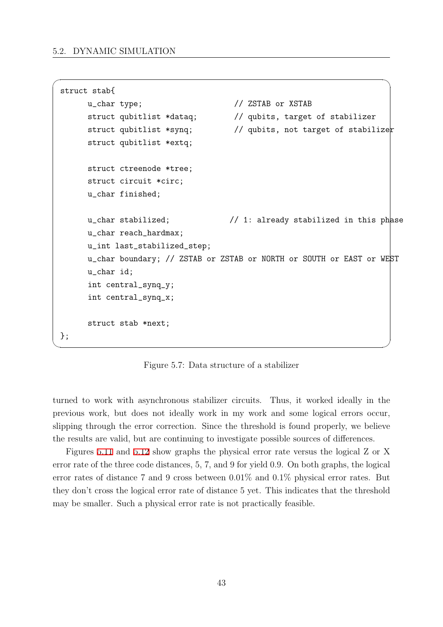```
struct stab{
      u_char type; // ZSTAB or XSTAB
      struct qubitlist *dataq; // qubits, target of stabilizer
      struct qubitlist *synq; \frac{1}{2} qubits, not target of stabilizer
      struct qubitlist *extq;
      struct ctreenode *tree;
      struct circuit *circ;
      u_char finished;
      u_char stabilized; // 1: already stabilized in this phase
      u_char reach_hardmax;
      u_int last_stabilized_step;
      u_char boundary; // ZSTAB or ZSTAB or NORTH or SOUTH or EAST or WEST
      u_char id;
      int central_synq_y;
      int central_synq_x;
      struct stab *next;
 }; ✒ ✑
```
<span id="page-50-0"></span> $\sqrt{2\pi}$ 

Figure 5.7: Data structure of a stabilizer

turned to work with asynchronous stabilizer circuits. Thus, it worked ideally in the previous work, but does not ideally work in my work and some logical errors occur, slipping through the error correction. Since the threshold is found properly, we believe the results are valid, but are continuing to investigate possible sources of differences.

Figures 5.11 and 5.12 show graphs the physical error rate versus the logical Z or X error rate of the three code distances, 5, 7, and 9 for yield 0.9. On both graphs, the logical error rates of distance 7 and 9 cross between 0.01% and 0.1% physical error rates. But they don't [cross](#page-54-0) the l[ogica](#page-55-0)l error rate of distance 5 yet. This indicates that the threshold may be smaller. Such a physical error rate is not practically feasible.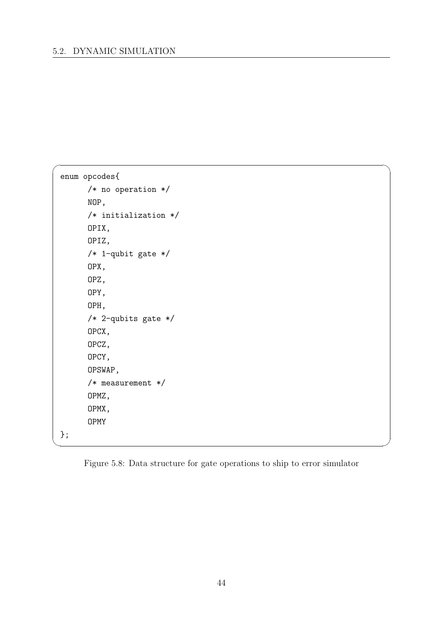```
\sqrt{2\pi}enum opcodes{
     /* no operation */
     NOP,
     /* initialization */
     OPIX,
     OPIZ,
     /* 1-qubit gate */
     OPX,
     OPZ,
     OPY,
     OPH,
     /* 2-qubits gate */
     OPCX,
     OPCZ,
     OPCY,
     OPSWAP,
     /* measurement */
     OPMZ,
     OPMX,
     OPMY
 };
```
Figure 5.8: Data structure for gate operations to ship to error simulator

✒ ✑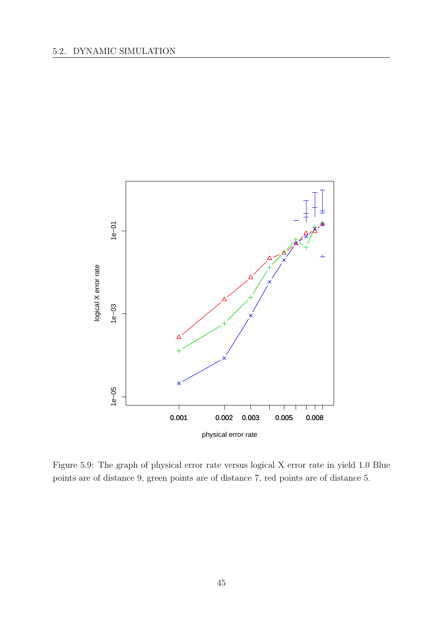<span id="page-52-0"></span>

Figure 5.9: The graph of physical error rate versus logical X error rate in yield 1.0 Blue points are of distance 9, green points are of distance 7, red points are of distance 5.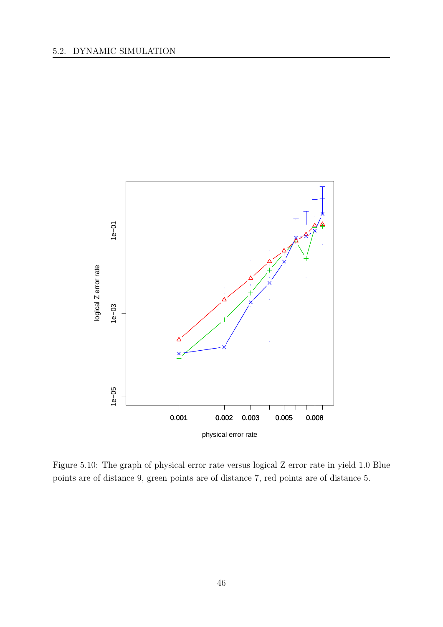<span id="page-53-0"></span>

Figure 5.10: The graph of physical error rate versus logical Z error rate in yield 1.0 Blue points are of distance 9, green points are of distance 7, red points are of distance 5.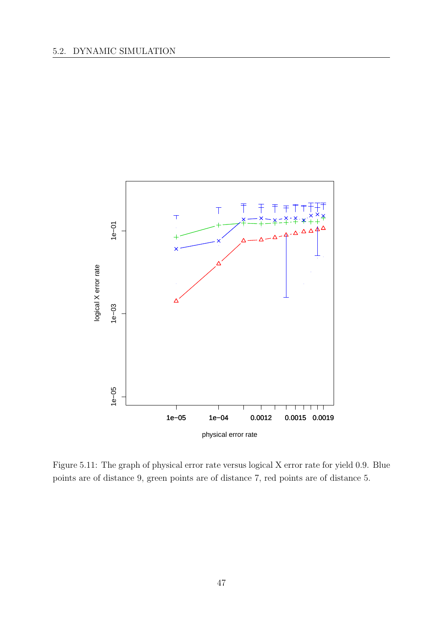<span id="page-54-0"></span>

Figure 5.11: The graph of physical error rate versus logical X error rate for yield 0.9. Blue points are of distance 9, green points are of distance 7, red points are of distance 5.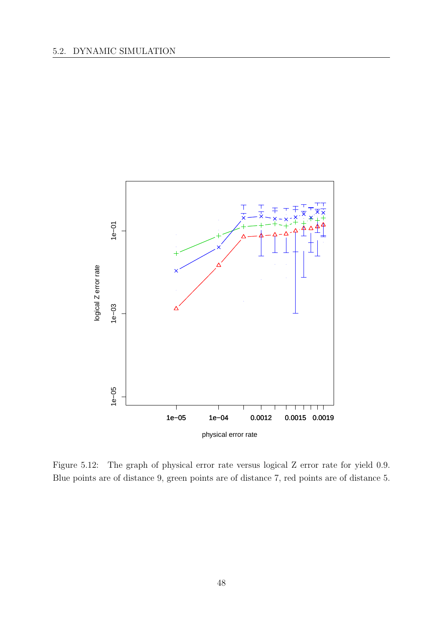<span id="page-55-0"></span>

Figure 5.12: The graph of physical error rate versus logical Z error rate for yield 0.9. Blue points are of distance 9, green points are of distance 7, red points are of distance 5.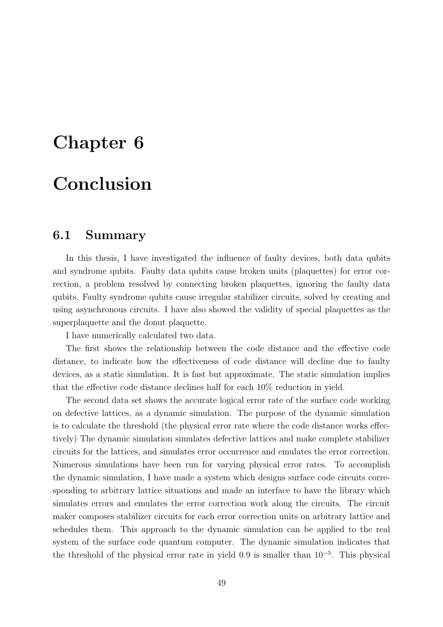# **Chapter 6**

# **Conclusion**

### **6.1 Summary**

In this thesis, I have investigated the influence of faulty devices, both data qubits and syndrome qubits. Faulty data qubits cause broken units (plaquettes) for error correction, a problem resolved by connecting broken plaquettes, ignoring the faulty data qubits. Faulty syndrome qubits cause irregular stabilizer circuits, solved by creating and using asynchronous circuits. I have also showed the validity of special plaquettes as the superplaquette and the donut plaquette.

I have numerically calculated two data.

The first shows the relationship between the code distance and the effective code distance, to indicate how the effectiveness of code distance will decline due to faulty devices, as a static simulation. It is fast but approximate. The static simulation implies that the effective code distance declines half for each 10% reduction in yield.

The second data set shows the accurate logical error rate of the surface code working on defective lattices, as a dynamic simulation. The purpose of the dynamic simulation is to calculate the threshold (the physical error rate where the code distance works effectively) The dynamic simulation simulates defective lattices and make complete stabilizer circuits for the lattices, and simulates error occurrence and emulates the error correction. Numerous simulations have been run for varying physical error rates. To accomplish the dynamic simulation, I have made a system which designs surface code circuits corresponding to arbitrary lattice situations and made an interface to have the library which simulates errors and emulates the error correction work along the circuits. The circuit maker composes stabilizer circuits for each error correction units on arbitrary lattice and schedules them. This approach to the dynamic simulation can be applied to the real system of the surface code quantum computer. The dynamic simulation indicates that the threshold of the physical error rate in yield 0.9 is smaller than 10*−*<sup>5</sup> . This physical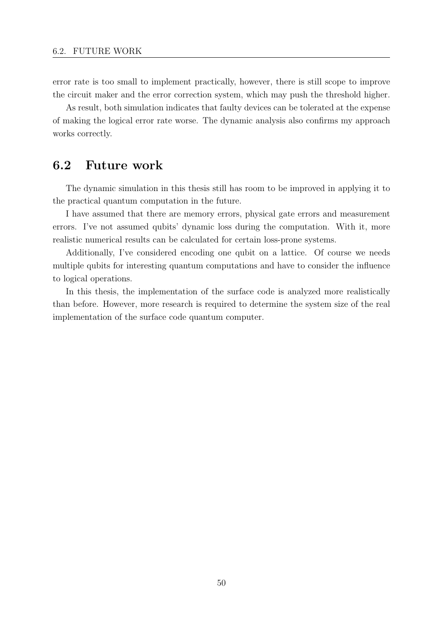error rate is too small to implement practically, however, there is still scope to improve the circuit maker and the error correction system, which may push the threshold higher.

As result, both simulation indicates that faulty devices can be tolerated at the expense of making the logical error rate worse. The dynamic analysis also confirms my approach works correctly.

# **6.2 Future work**

The dynamic simulation in this thesis still has room to be improved in applying it to the practical quantum computation in the future.

I have assumed that there are memory errors, physical gate errors and measurement errors. I've not assumed qubits' dynamic loss during the computation. With it, more realistic numerical results can be calculated for certain loss-prone systems.

Additionally, I've considered encoding one qubit on a lattice. Of course we needs multiple qubits for interesting quantum computations and have to consider the influence to logical operations.

In this thesis, the implementation of the surface code is analyzed more realistically than before. However, more research is required to determine the system size of the real implementation of the surface code quantum computer.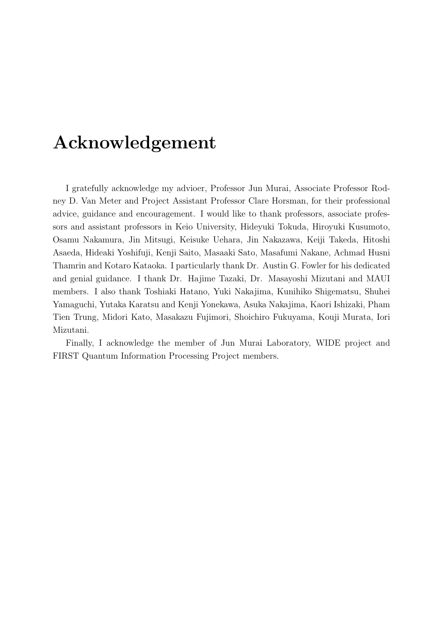# **Acknowledgement**

I gratefully acknowledge my advioer, Professor Jun Murai, Associate Professor Rodney D. Van Meter and Project Assistant Professor Clare Horsman, for their professional advice, guidance and encouragement. I would like to thank professors, associate professors and assistant professors in Keio University, Hideyuki Tokuda, Hiroyuki Kusumoto, Osamu Nakamura, Jin Mitsugi, Keisuke Uehara, Jin Nakazawa, Keiji Takeda, Hitoshi Asaeda, Hideaki Yoshifuji, Kenji Saito, Masaaki Sato, Masafumi Nakane, Achmad Husni Thamrin and Kotaro Kataoka. I particularly thank Dr. Austin G. Fowler for his dedicated and genial guidance. I thank Dr. Hajime Tazaki, Dr. Masayoshi Mizutani and MAUI members. I also thank Toshiaki Hatano, Yuki Nakajima, Kunihiko Shigematsu, Shuhei Yamaguchi, Yutaka Karatsu and Kenji Yonekawa, Asuka Nakajima, Kaori Ishizaki, Pham Tien Trung, Midori Kato, Masakazu Fujimori, Shoichiro Fukuyama, Kouji Murata, Iori Mizutani.

Finally, I acknowledge the member of Jun Murai Laboratory, WIDE project and FIRST Quantum Information Processing Project members.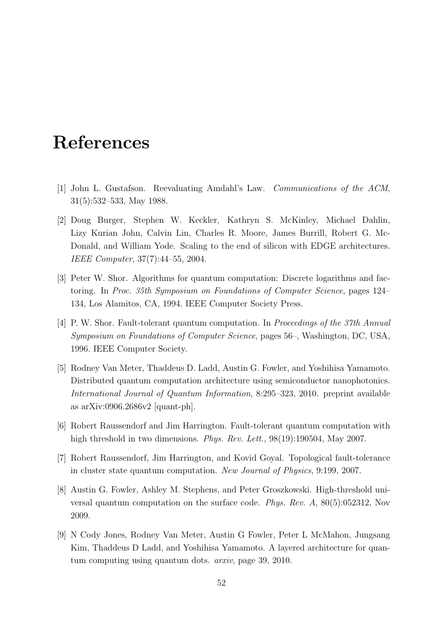# <span id="page-59-0"></span>**References**

- [1] John L. Gustafson. Reevaluating Amdahl's Law. *Communications of the ACM*, 31(5):532–533, May 1988.
- [2] Doug Burger, Stephen W. Keckler, Kathryn S. McKinley, Michael Dahlin, Lizy Kurian John, Calvin Lin, Charles R. Moore, James Burrill, Robert G. Mc-Donald, and William Yode. Scaling to the end of silicon with EDGE architectures. *IEEE Computer*, 37(7):44–55, 2004.
- [3] Peter W. Shor. Algorithms for quantum computation: Discrete logarithms and factoring. In *Proc. 35th Symposium on Foundations of Computer Science*, pages 124– 134, Los Alamitos, CA, 1994. IEEE Computer Society Press.
- [4] P. W. Shor. Fault-tolerant quantum computation. In *Proceedings of the 37th Annual Symposium on Foundations of Computer Science*, pages 56–, Washington, DC, USA, 1996. IEEE Computer Society.
- [5] Rodney Van Meter, Thaddeus D. Ladd, Austin G. Fowler, and Yoshihisa Yamamoto. Distributed quantum computation architecture using semiconductor nanophotonics. *International Journal of Quantum Information*, 8:295–323, 2010. preprint available as arXiv:0906.2686v2 [quant-ph].
- [6] Robert Raussendorf and Jim Harrington. Fault-tolerant quantum computation with high threshold in two dimensions. *Phys. Rev. Lett.*, 98(19):190504, May 2007.
- [7] Robert Raussendorf, Jim Harrington, and Kovid Goyal. Topological fault-tolerance in cluster state quantum computation. *New Journal of Physics*, 9:199, 2007.
- [8] Austin G. Fowler, Ashley M. Stephens, and Peter Groszkowski. High-threshold universal quantum computation on the surface code. *Phys. Rev. A*, 80(5):052312, Nov 2009.
- [9] N Cody Jones, Rodney Van Meter, Austin G Fowler, Peter L McMahon, Jungsang Kim, Thaddeus D Ladd, and Yoshihisa Yamamoto. A layered architecture for quantum computing using quantum dots. *arxiv*, page 39, 2010.